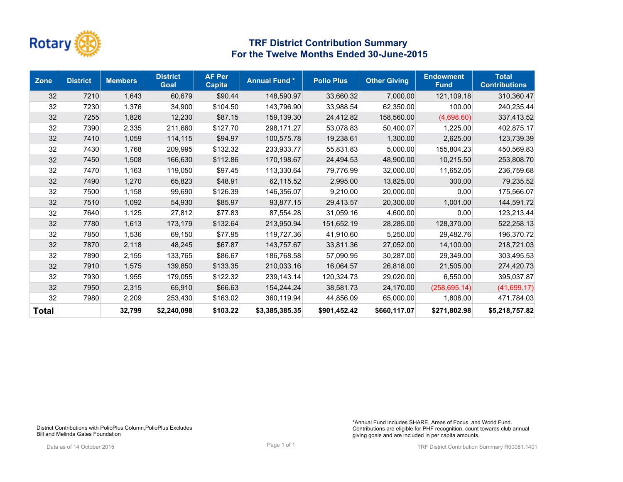

| <b>Zone</b>  | <b>District</b> | <b>Members</b> | <b>District</b><br><b>Goal</b> | <b>AF Per</b><br><b>Capita</b> | <b>Annual Fund*</b> | <b>Polio Plus</b> | <b>Other Giving</b> | <b>Endowment</b><br><b>Fund</b> | <b>Total</b><br><b>Contributions</b> |
|--------------|-----------------|----------------|--------------------------------|--------------------------------|---------------------|-------------------|---------------------|---------------------------------|--------------------------------------|
| 32           | 7210            | 1,643          | 60,679                         | \$90.44                        | 148,590.97          | 33,660.32         | 7,000.00            | 121,109.18                      | 310,360.47                           |
| 32           | 7230            | 1,376          | 34,900                         | \$104.50                       | 143.796.90          | 33,988.54         | 62,350.00           | 100.00                          | 240,235.44                           |
| 32           | 7255            | 1,826          | 12,230                         | \$87.15                        | 159,139.30          | 24,412.82         | 158,560.00          | (4,698.60)                      | 337,413.52                           |
| 32           | 7390            | 2,335          | 211,660                        | \$127.70                       | 298.171.27          | 53.078.83         | 50,400.07           | 1,225.00                        | 402,875.17                           |
| 32           | 7410            | 1,059          | 114,115                        | \$94.97                        | 100,575.78          | 19,238.61         | 1,300.00            | 2,625.00                        | 123,739.39                           |
| 32           | 7430            | 1,768          | 209,995                        | \$132.32                       | 233,933.77          | 55,831.83         | 5,000.00            | 155,804.23                      | 450,569.83                           |
| 32           | 7450            | 1,508          | 166,630                        | \$112.86                       | 170,198.67          | 24,494.53         | 48,900.00           | 10,215.50                       | 253,808.70                           |
| 32           | 7470            | 1,163          | 119,050                        | \$97.45                        | 113,330.64          | 79,776.99         | 32,000.00           | 11,652.05                       | 236,759.68                           |
| 32           | 7490            | 1,270          | 65,823                         | \$48.91                        | 62,115.52           | 2,995.00          | 13,825.00           | 300.00                          | 79,235.52                            |
| 32           | 7500            | 1,158          | 99,690                         | \$126.39                       | 146,356.07          | 9.210.00          | 20,000.00           | 0.00                            | 175,566.07                           |
| 32           | 7510            | 1,092          | 54,930                         | \$85.97                        | 93.877.15           | 29,413.57         | 20,300.00           | 1.001.00                        | 144,591.72                           |
| 32           | 7640            | 1,125          | 27,812                         | \$77.83                        | 87,554.28           | 31,059.16         | 4,600.00            | 0.00                            | 123,213.44                           |
| 32           | 7780            | 1,613          | 173,179                        | \$132.64                       | 213,950.94          | 151,652.19        | 28,285.00           | 128.370.00                      | 522,258.13                           |
| 32           | 7850            | 1,536          | 69,150                         | \$77.95                        | 119,727.36          | 41,910.60         | 5,250.00            | 29.482.76                       | 196,370.72                           |
| 32           | 7870            | 2,118          | 48,245                         | \$67.87                        | 143,757.67          | 33,811.36         | 27,052.00           | 14,100.00                       | 218,721.03                           |
| 32           | 7890            | 2,155          | 133,765                        | \$86.67                        | 186.768.58          | 57.090.95         | 30.287.00           | 29,349.00                       | 303,495.53                           |
| 32           | 7910            | 1,575          | 139,850                        | \$133.35                       | 210,033.16          | 16,064.57         | 26,818.00           | 21,505.00                       | 274,420.73                           |
| 32           | 7930            | 1,955          | 179,055                        | \$122.32                       | 239.143.14          | 120,324.73        | 29,020.00           | 6.550.00                        | 395,037.87                           |
| 32           | 7950            | 2,315          | 65,910                         | \$66.63                        | 154,244.24          | 38,581.73         | 24,170.00           | (258, 695.14)                   | (41,699.17)                          |
| 32           | 7980            | 2,209          | 253,430                        | \$163.02                       | 360,119.94          | 44,856.09         | 65,000.00           | 1,808.00                        | 471,784.03                           |
| <b>Total</b> |                 | 32,799         | \$2,240,098                    | \$103.22                       | \$3,385,385.35      | \$901,452.42      | \$660,117.07        | \$271,802.98                    | \$5,218,757.82                       |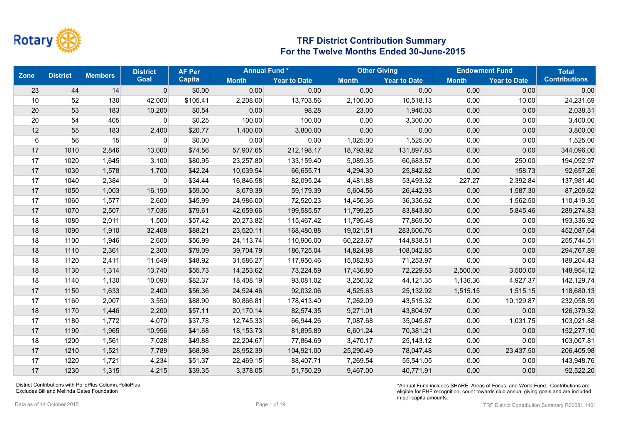

| <b>Zone</b>      | <b>District</b> | <b>Members</b> | <b>District</b> | <b>AF Per</b> |              | <b>Annual Fund*</b> |              | <b>Other Giving</b> | <b>Endowment Fund</b> |                     | <b>Total</b>         |
|------------------|-----------------|----------------|-----------------|---------------|--------------|---------------------|--------------|---------------------|-----------------------|---------------------|----------------------|
|                  |                 |                | <b>Goal</b>     | <b>Capita</b> | <b>Month</b> | <b>Year to Date</b> | <b>Month</b> | <b>Year to Date</b> | <b>Month</b>          | <b>Year to Date</b> | <b>Contributions</b> |
| 23               | 44              | 14             | $\pmb{0}$       | \$0.00        | 0.00         | 0.00                | 0.00         | 0.00                | 0.00                  | 0.00                | 0.00                 |
| 10               | 52              | 130            | 42,000          | \$105.41      | 2,208.00     | 13,703.56           | 2,100.00     | 10,518.13           | 0.00                  | 10.00               | 24,231.69            |
| 20               | 53              | 183            | 10,200          | \$0.54        | 0.00         | 98.28               | 23.00        | 1,940.03            | 0.00                  | 0.00                | 2,038.31             |
| 20               | 54              | 405            | 0               | \$0.25        | 100.00       | 100.00              | 0.00         | 3,300.00            | 0.00                  | 0.00                | 3,400.00             |
| 12               | 55              | 183            | 2,400           | \$20.77       | 1,400.00     | 3,800.00            | 0.00         | 0.00                | 0.00                  | 0.00                | 3,800.00             |
| $6 \overline{6}$ | 56              | 15             | 0               | \$0.00        | 0.00         | 0.00                | 1,025.00     | 1,525.00            | 0.00                  | 0.00                | 1,525.00             |
| 17               | 1010            | 2,846          | 13,000          | \$74.56       | 57,907.65    | 212,198.17          | 18,793.92    | 131,897.83          | 0.00                  | 0.00                | 344,096.00           |
| 17               | 1020            | 1,645          | 3,100           | \$80.95       | 23,257.80    | 133,159.40          | 5,089.35     | 60,683.57           | 0.00                  | 250.00              | 194,092.97           |
| 17               | 1030            | 1,578          | 1,700           | \$42.24       | 10,039.54    | 66,655.71           | 4,294.30     | 25,842.82           | 0.00                  | 158.73              | 92,657.26            |
| 17               | 1040            | 2,384          | $\mathbf 0$     | \$34.44       | 16,846.58    | 82,095.24           | 4,481.88     | 53,493.32           | 227.27                | 2,392.84            | 137,981.40           |
| 17               | 1050            | 1,003          | 16,190          | \$59.00       | 8,079.39     | 59,179.39           | 5,604.56     | 26,442.93           | 0.00                  | 1,587.30            | 87,209.62            |
| 17               | 1060            | 1,577          | 2,600           | \$45.99       | 24,986.00    | 72,520.23           | 14,456.36    | 36,336.62           | 0.00                  | 1,562.50            | 110,419.35           |
| 17               | 1070            | 2,507          | 17,036          | \$79.61       | 42,659.66    | 199,585.57          | 11,799.25    | 83,843.80           | 0.00                  | 5,845.46            | 289,274.83           |
| 18               | 1080            | 2,011          | 1,500           | \$57.42       | 20,273.82    | 115,467.42          | 11,795.48    | 77,869.50           | 0.00                  | 0.00                | 193,336.92           |
| 18               | 1090            | 1,910          | 32,408          | \$88.21       | 23,520.11    | 168,480.88          | 19,021.51    | 283,606.76          | 0.00                  | 0.00                | 452,087.64           |
| 18               | 1100            | 1,946          | 2,600           | \$56.99       | 24,113.74    | 110,906.00          | 60,223.67    | 144,838.51          | 0.00                  | 0.00                | 255,744.51           |
| 18               | 1110            | 2,361          | 2,300           | \$79.09       | 39,704.79    | 186,725.04          | 14,824.98    | 108,042.85          | 0.00                  | 0.00                | 294,767.89           |
| 18               | 1120            | 2,411          | 11,649          | \$48.92       | 31,586.27    | 117,950.46          | 15,082.83    | 71,253.97           | 0.00                  | 0.00                | 189,204.43           |
| 18               | 1130            | 1,314          | 13,740          | \$55.73       | 14,253.62    | 73,224.59           | 17,436.80    | 72,229.53           | 2,500.00              | 3,500.00            | 148,954.12           |
| 18               | 1140            | 1,130          | 10,090          | \$82.37       | 18,408.19    | 93,081.02           | 3,250.32     | 44,121.35           | 1,136.36              | 4,927.37            | 142,129.74           |
| 17               | 1150            | 1,633          | 2,400           | \$56.36       | 24,524.46    | 92,032.06           | 4,525.63     | 25,132.92           | 1,515.15              | 1,515.15            | 118,680.13           |
| 17               | 1160            | 2,007          | 3,550           | \$88.90       | 80,866.81    | 178,413.40          | 7,262.09     | 43,515.32           | 0.00                  | 10,129.87           | 232,058.59           |
| 18               | 1170            | 1,446          | 2,200           | \$57.11       | 20,170.14    | 82,574.35           | 9,271.01     | 43,804.97           | 0.00                  | 0.00                | 126,379.32           |
| 17               | 1180            | 1,772          | 4,070           | \$37.78       | 12,745.33    | 66,944.26           | 7,087.68     | 35,045.87           | 0.00                  | 1,031.75            | 103,021.88           |
| 17               | 1190            | 1,965          | 10,956          | \$41.68       | 18,153.73    | 81,895.89           | 6,601.24     | 70,381.21           | 0.00                  | 0.00                | 152,277.10           |
| 18               | 1200            | 1,561          | 7,028           | \$49.88       | 22,204.67    | 77,864.69           | 3,470.17     | 25,143.12           | 0.00                  | 0.00                | 103,007.81           |
| 17               | 1210            | 1,521          | 7,789           | \$68.98       | 28,952.39    | 104,921.00          | 25,290.49    | 78,047.48           | 0.00                  | 23,437.50           | 206,405.98           |
| 17               | 1220            | 1,721          | 4,234           | \$51.37       | 22,469.15    | 88,407.71           | 7,269.54     | 55,541.05           | 0.00                  | 0.00                | 143,948.76           |
| 17               | 1230            | 1,315          | 4,215           | \$39.35       | 3,378.05     | 51.750.29           | 9.467.00     | 40,771.91           | 0.00                  | 0.00                | 92,522.20            |

District Contributions with PolioPlus Column,PolioPlus Excludes Bill and Melinda Gates Foundation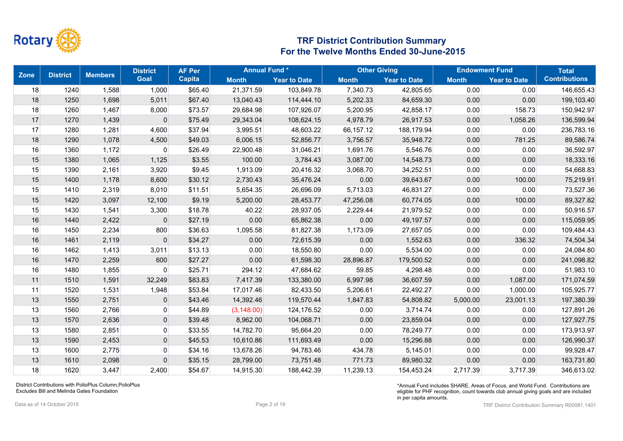

| <b>Zone</b> | <b>District</b> | <b>Members</b> | <b>District</b> | <b>AF Per</b> | <b>Annual Fund*</b> |                     |              | <b>Other Giving</b> |              | <b>Endowment Fund</b> | <b>Total</b>         |
|-------------|-----------------|----------------|-----------------|---------------|---------------------|---------------------|--------------|---------------------|--------------|-----------------------|----------------------|
|             |                 |                | <b>Goal</b>     | <b>Capita</b> | <b>Month</b>        | <b>Year to Date</b> | <b>Month</b> | <b>Year to Date</b> | <b>Month</b> | <b>Year to Date</b>   | <b>Contributions</b> |
| 18          | 1240            | 1,588          | 1,000           | \$65.40       | 21,371.59           | 103,849.78          | 7,340.73     | 42,805.65           | 0.00         | 0.00                  | 146,655.43           |
| 18          | 1250            | 1,698          | 5,011           | \$67.40       | 13,040.43           | 114,444.10          | 5,202.33     | 84,659.30           | 0.00         | 0.00                  | 199,103.40           |
| 18          | 1260            | 1,467          | 8,000           | \$73.57       | 29,684.98           | 107,926.07          | 5,200.95     | 42,858.17           | 0.00         | 158.73                | 150,942.97           |
| 17          | 1270            | 1,439          | $\pmb{0}$       | \$75.49       | 29,343.04           | 108,624.15          | 4,978.79     | 26,917.53           | 0.00         | 1,058.26              | 136,599.94           |
| 17          | 1280            | 1,281          | 4,600           | \$37.94       | 3,995.51            | 48,603.22           | 66,157.12    | 188,179.94          | 0.00         | 0.00                  | 236,783.16           |
| 18          | 1290            | 1,078          | 4,500           | \$49.03       | 6,006.15            | 52,856.77           | 3,756.57     | 35,948.72           | 0.00         | 781.25                | 89,586.74            |
| 16          | 1360            | 1,172          | 0               | \$26.49       | 22,900.48           | 31,046.21           | 1,691.76     | 5,546.76            | 0.00         | 0.00                  | 36,592.97            |
| 15          | 1380            | 1,065          | 1,125           | \$3.55        | 100.00              | 3,784.43            | 3,087.00     | 14,548.73           | 0.00         | 0.00                  | 18,333.16            |
| 15          | 1390            | 2,161          | 3,920           | \$9.45        | 1,913.09            | 20,416.32           | 3,068.70     | 34,252.51           | 0.00         | 0.00                  | 54,668.83            |
| 15          | 1400            | 1,178          | 8,600           | \$30.12       | 2,730.43            | 35,476.24           | 0.00         | 39,643.67           | 0.00         | 100.00                | 75,219.91            |
| 15          | 1410            | 2,319          | 8,010           | \$11.51       | 5,654.35            | 26,696.09           | 5,713.03     | 46,831.27           | 0.00         | 0.00                  | 73,527.36            |
| 15          | 1420            | 3,097          | 12,100          | \$9.19        | 5,200.00            | 28,453.77           | 47,256.08    | 60,774.05           | 0.00         | 100.00                | 89,327.82            |
| 15          | 1430            | 1,541          | 3,300           | \$18.78       | 40.22               | 28,937.05           | 2,229.44     | 21,979.52           | 0.00         | 0.00                  | 50,916.57            |
| 16          | 1440            | 2,422          | $\mathbf 0$     | \$27.19       | 0.00                | 65,862.38           | 0.00         | 49,197.57           | 0.00         | 0.00                  | 115,059.95           |
| 16          | 1450            | 2,234          | 800             | \$36.63       | 1,095.58            | 81,827.38           | 1,173.09     | 27,657.05           | 0.00         | 0.00                  | 109,484.43           |
| 16          | 1461            | 2,119          | $\mathbf{0}$    | \$34.27       | 0.00                | 72,615.39           | 0.00         | 1,552.63            | 0.00         | 336.32                | 74,504.34            |
| 16          | 1462            | 1,413          | 3,011           | \$13.13       | 0.00                | 18,550.80           | 0.00         | 5,534.00            | 0.00         | 0.00                  | 24,084.80            |
| 16          | 1470            | 2,259          | 600             | \$27.27       | 0.00                | 61,598.30           | 28,896.87    | 179,500.52          | 0.00         | 0.00                  | 241,098.82           |
| 16          | 1480            | 1,855          | $\mathbf 0$     | \$25.71       | 294.12              | 47,684.62           | 59.85        | 4,298.48            | 0.00         | 0.00                  | 51,983.10            |
| 11          | 1510            | 1,591          | 32,249          | \$83.83       | 7,417.39            | 133,380.00          | 6,997.98     | 36,607.59           | 0.00         | 1,087.00              | 171,074.59           |
| 11          | 1520            | 1,531          | 1,948           | \$53.84       | 17,017.46           | 82,433.50           | 5,206.61     | 22,492.27           | 0.00         | 1,000.00              | 105,925.77           |
| 13          | 1550            | 2,751          | $\mathbf 0$     | \$43.46       | 14,392.46           | 119,570.44          | 1,847.83     | 54,808.82           | 5,000.00     | 23,001.13             | 197,380.39           |
| 13          | 1560            | 2,766          | $\mathbf{0}$    | \$44.89       | (3, 148.00)         | 124,176.52          | 0.00         | 3,714.74            | 0.00         | 0.00                  | 127,891.26           |
| 13          | 1570            | 2,636          | $\mathbf 0$     | \$39.48       | 8,962.00            | 104,068.71          | 0.00         | 23,859.04           | 0.00         | 0.00                  | 127,927.75           |
| 13          | 1580            | 2,851          | $\mathbf 0$     | \$33.55       | 14,782.70           | 95,664.20           | 0.00         | 78,249.77           | 0.00         | 0.00                  | 173,913.97           |
| 13          | 1590            | 2,453          | $\mathbf 0$     | \$45.53       | 10,610.86           | 111,693.49          | 0.00         | 15,296.88           | 0.00         | 0.00                  | 126,990.37           |
| 13          | 1600            | 2,775          | $\mathbf 0$     | \$34.16       | 13,678.26           | 94,783.46           | 434.78       | 5,145.01            | 0.00         | 0.00                  | 99,928.47            |
| 13          | 1610            | 2,098          | $\pmb{0}$       | \$35.15       | 28,799.00           | 73,751.48           | 771.73       | 89,980.32           | 0.00         | 0.00                  | 163,731.80           |
| 18          | 1620            | 3.447          | 2,400           | \$54.67       | 14,915.30           | 188.442.39          | 11,239.13    | 154,453.24          | 2,717.39     | 3,717.39              | 346,613.02           |

District Contributions with PolioPlus Column,PolioPlus Excludes Bill and Melinda Gates Foundation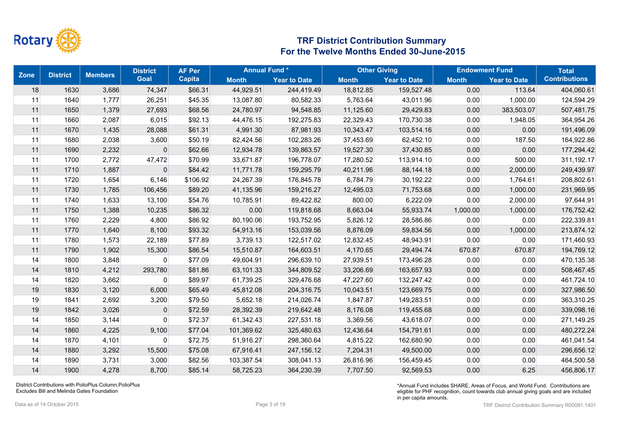

| <b>Zone</b> | <b>District</b> | <b>Members</b> | <b>District</b> | <b>AF Per</b> | <b>Annual Fund*</b> |                     | <b>Other Giving</b> |                     |              | <b>Endowment Fund</b> | <b>Total</b>         |
|-------------|-----------------|----------------|-----------------|---------------|---------------------|---------------------|---------------------|---------------------|--------------|-----------------------|----------------------|
|             |                 |                | <b>Goal</b>     | <b>Capita</b> | <b>Month</b>        | <b>Year to Date</b> | <b>Month</b>        | <b>Year to Date</b> | <b>Month</b> | <b>Year to Date</b>   | <b>Contributions</b> |
| 18          | 1630            | 3,686          | 74,347          | \$66.31       | 44,929.51           | 244,419.49          | 18,812.85           | 159,527.48          | 0.00         | 113.64                | 404,060.61           |
| 11          | 1640            | 1,777          | 26,251          | \$45.35       | 13,087.80           | 80,582.33           | 5,763.64            | 43,011.96           | 0.00         | 1,000.00              | 124,594.29           |
| 11          | 1650            | 1,379          | 27,693          | \$68.56       | 24,780.97           | 94,548.85           | 11,125.60           | 29,429.83           | 0.00         | 383,503.07            | 507,481.75           |
| 11          | 1660            | 2,087          | 6,015           | \$92.13       | 44,476.15           | 192,275.83          | 22,329.43           | 170,730.38          | 0.00         | 1,948.05              | 364,954.26           |
| 11          | 1670            | 1,435          | 28,088          | \$61.31       | 4,991.30            | 87,981.93           | 10,343.47           | 103,514.16          | 0.00         | 0.00                  | 191,496.09           |
| 11          | 1680            | 2,038          | 3,600           | \$50.19       | 82,424.56           | 102,283.26          | 37,453.69           | 62,452.10           | 0.00         | 187.50                | 164,922.86           |
| 11          | 1690            | 2,232          | $\mathbf 0$     | \$62.66       | 12,934.78           | 139,863.57          | 19,527.30           | 37,430.85           | 0.00         | 0.00                  | 177,294.42           |
| 11          | 1700            | 2,772          | 47,472          | \$70.99       | 33,671.87           | 196,778.07          | 17,280.52           | 113,914.10          | 0.00         | 500.00                | 311,192.17           |
| 11          | 1710            | 1,887          | $\mathbf 0$     | \$84.42       | 11,771.78           | 159,295.79          | 40,211.96           | 88,144.18           | 0.00         | 2,000.00              | 249,439.97           |
| 11          | 1720            | 1,654          | 6,146           | \$106.92      | 24,267.39           | 176,845.78          | 6,784.79            | 30,192.22           | 0.00         | 1,764.61              | 208,802.61           |
| 11          | 1730            | 1,785          | 106,456         | \$89.20       | 41,135.96           | 159,216.27          | 12,495.03           | 71,753.68           | 0.00         | 1,000.00              | 231,969.95           |
| 11          | 1740            | 1,633          | 13,100          | \$54.76       | 10,785.91           | 89,422.82           | 800.00              | 6,222.09            | 0.00         | 2,000.00              | 97,644.91            |
| 11          | 1750            | 1,388          | 10,235          | \$86.32       | 0.00                | 119,818.68          | 8,663.04            | 55,933.74           | 1,000.00     | 1,000.00              | 176,752.42           |
| 11          | 1760            | 2,229          | 4,800           | \$86.92       | 80,190.06           | 193,752.95          | 5,826.12            | 28,586.86           | 0.00         | 0.00                  | 222,339.81           |
| 11          | 1770            | 1,640          | 8,100           | \$93.32       | 54,913.16           | 153,039.56          | 8,876.09            | 59,834.56           | 0.00         | 1,000.00              | 213,874.12           |
| 11          | 1780            | 1,573          | 22,189          | \$77.89       | 3,739.13            | 122,517.02          | 12,832.45           | 48,943.91           | 0.00         | 0.00                  | 171,460.93           |
| 11          | 1790            | 1,902          | 15,300          | \$86.54       | 15,510.87           | 164,603.51          | 4,170.65            | 29,494.74           | 670.87       | 670.87                | 194,769.12           |
| 14          | 1800            | 3,848          | $\mathbf 0$     | \$77.09       | 49,604.91           | 296,639.10          | 27,939.51           | 173,496.28          | 0.00         | 0.00                  | 470,135.38           |
| 14          | 1810            | 4,212          | 293,780         | \$81.86       | 63,101.33           | 344,809.52          | 33,206.69           | 163,657.93          | 0.00         | 0.00                  | 508,467.45           |
| 14          | 1820            | 3,662          | 0               | \$89.97       | 61,739.25           | 329,476.68          | 47,227.60           | 132,247.42          | 0.00         | 0.00                  | 461,724.10           |
| 19          | 1830            | 3,120          | 6,000           | \$65.49       | 45,812.08           | 204,316.75          | 10,043.51           | 123,669.75          | 0.00         | 0.00                  | 327,986.50           |
| 19          | 1841            | 2,692          | 3,200           | \$79.50       | 5,652.18            | 214,026.74          | 1,847.87            | 149,283.51          | 0.00         | 0.00                  | 363,310.25           |
| 19          | 1842            | 3,026          | $\mathbf 0$     | \$72.59       | 28,392.39           | 219,642.48          | 8,176.08            | 119,455.68          | 0.00         | 0.00                  | 339,098.16           |
| 14          | 1850            | 3,144          | $\mathbf 0$     | \$72.37       | 61,342.43           | 227,531.18          | 3,369.56            | 43,618.07           | 0.00         | 0.00                  | 271,149.25           |
| 14          | 1860            | 4,225          | 9,100           | \$77.04       | 101,369.62          | 325,480.63          | 12,436.64           | 154,791.61          | 0.00         | 0.00                  | 480,272.24           |
| 14          | 1870            | 4,101          | $\mathbf 0$     | \$72.75       | 51,916.27           | 298,360.64          | 4,815.22            | 162,680.90          | 0.00         | 0.00                  | 461,041.54           |
| 14          | 1880            | 3,292          | 15,500          | \$75.08       | 67,916.41           | 247, 156. 12        | 7,204.31            | 49,500.00           | 0.00         | 0.00                  | 296,656.12           |
| 14          | 1890            | 3,731          | 3,000           | \$82.56       | 103,387.54          | 308,041.13          | 26,816.96           | 156,459.45          | 0.00         | 0.00                  | 464,500.58           |
| 14          | 1900            | 4,278          | 8,700           | \$85.14       | 58,725.23           | 364,230.39          | 7.707.50            | 92,569.53           | 0.00         | 6.25                  | 456,806.17           |

District Contributions with PolioPlus Column,PolioPlus Excludes Bill and Melinda Gates Foundation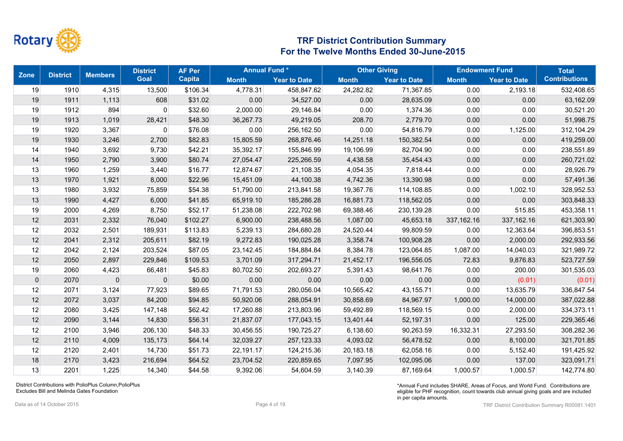

| <b>Zone</b>    | <b>District</b> | <b>Members</b> | <b>District</b> | <b>AF Per</b> | <b>Annual Fund*</b> |                     | <b>Other Giving</b> |                     |              | <b>Endowment Fund</b> | <b>Total</b>         |
|----------------|-----------------|----------------|-----------------|---------------|---------------------|---------------------|---------------------|---------------------|--------------|-----------------------|----------------------|
|                |                 |                | <b>Goal</b>     | <b>Capita</b> | <b>Month</b>        | <b>Year to Date</b> | <b>Month</b>        | <b>Year to Date</b> | <b>Month</b> | <b>Year to Date</b>   | <b>Contributions</b> |
| 19             | 1910            | 4,315          | 13,500          | \$106.34      | 4,778.31            | 458,847.62          | 24,282.82           | 71,367.85           | 0.00         | 2,193.18              | 532,408.65           |
| 19             | 1911            | 1,113          | 608             | \$31.02       | 0.00                | 34,527.00           | 0.00                | 28,635.09           | 0.00         | 0.00                  | 63,162.09            |
| 19             | 1912            | 894            | 0               | \$32.60       | 2,000.00            | 29,146.84           | 0.00                | 1,374.36            | 0.00         | 0.00                  | 30,521.20            |
| 19             | 1913            | 1,019          | 28,421          | \$48.30       | 36,267.73           | 49,219.05           | 208.70              | 2,779.70            | 0.00         | 0.00                  | 51,998.75            |
| 19             | 1920            | 3,367          | 0               | \$76.08       | 0.00                | 256,162.50          | 0.00                | 54,816.79           | 0.00         | 1,125.00              | 312,104.29           |
| 19             | 1930            | 3,246          | 2,700           | \$82.83       | 15,805.59           | 268,876.46          | 14,251.18           | 150,382.54          | 0.00         | 0.00                  | 419,259.00           |
| 14             | 1940            | 3,692          | 9,730           | \$42.21       | 35,392.17           | 155,846.99          | 19,106.99           | 82,704.90           | 0.00         | 0.00                  | 238,551.89           |
| 14             | 1950            | 2,790          | 3,900           | \$80.74       | 27,054.47           | 225,266.59          | 4,438.58            | 35,454.43           | 0.00         | 0.00                  | 260,721.02           |
| 13             | 1960            | 1,259          | 3,440           | \$16.77       | 12,874.67           | 21,108.35           | 4,054.35            | 7,818.44            | 0.00         | 0.00                  | 28,926.79            |
| 13             | 1970            | 1,921          | 8,000           | \$22.96       | 15,451.09           | 44,100.38           | 4,742.36            | 13,390.98           | 0.00         | 0.00                  | 57,491.36            |
| 13             | 1980            | 3,932          | 75,859          | \$54.38       | 51,790.00           | 213,841.58          | 19,367.76           | 114,108.85          | 0.00         | 1,002.10              | 328,952.53           |
| 13             | 1990            | 4,427          | 6,000           | \$41.85       | 65,919.10           | 185,286.28          | 16,881.73           | 118,562.05          | 0.00         | 0.00                  | 303,848.33           |
| 19             | 2000            | 4,269          | 8,750           | \$52.17       | 51,238.08           | 222,702.98          | 69,388.46           | 230,139.28          | 0.00         | 515.85                | 453,358.11           |
| 12             | 2031            | 2,332          | 76,040          | \$102.27      | 6,900.00            | 238,488.56          | 1,087.00            | 45,653.18           | 337, 162. 16 | 337, 162. 16          | 621,303.90           |
| 12             | 2032            | 2,501          | 189,931         | \$113.83      | 5,239.13            | 284,680.28          | 24,520.44           | 99,809.59           | 0.00         | 12,363.64             | 396,853.51           |
| 12             | 2041            | 2,312          | 205,611         | \$82.19       | 9,272.83            | 190,025.28          | 3,358.74            | 100,908.28          | 0.00         | 2,000.00              | 292,933.56           |
| 12             | 2042            | 2,124          | 203,524         | \$87.05       | 23,142.45           | 184,884.84          | 8,384.78            | 123,064.85          | 1,087.00     | 14,040.03             | 321,989.72           |
| 12             | 2050            | 2,897          | 229,846         | \$109.53      | 3,701.09            | 317,294.71          | 21,452.17           | 196,556.05          | 72.83        | 9,876.83              | 523,727.59           |
| 19             | 2060            | 4,423          | 66,481          | \$45.83       | 80,702.50           | 202,693.27          | 5,391.43            | 98,641.76           | 0.00         | 200.00                | 301,535.03           |
| $\overline{0}$ | 2070            | $\pmb{0}$      | $\mathbf 0$     | \$0.00        | 0.00                | 0.00                | 0.00                | 0.00                | 0.00         | (0.01)                | (0.01)               |
| 12             | 2071            | 3,124          | 77,923          | \$89.65       | 71,791.53           | 280,056.04          | 10,565.42           | 43,155.71           | 0.00         | 13,635.79             | 336,847.54           |
| 12             | 2072            | 3,037          | 84,200          | \$94.85       | 50,920.06           | 288,054.91          | 30,858.69           | 84,967.97           | 1,000.00     | 14,000.00             | 387,022.88           |
| 12             | 2080            | 3,425          | 147,148         | \$62.42       | 17,260.88           | 213,803.96          | 59,492.89           | 118,569.15          | 0.00         | 2,000.00              | 334,373.11           |
| 12             | 2090            | 3,144          | 14,830          | \$56.31       | 21,837.07           | 177,043.15          | 13,401.44           | 52,197.31           | 0.00         | 125.00                | 229,365.46           |
| 12             | 2100            | 3,946          | 206,130         | \$48.33       | 30,456.55           | 190,725.27          | 6,138.60            | 90,263.59           | 16,332.31    | 27,293.50             | 308,282.36           |
| 12             | 2110            | 4,009          | 135,173         | \$64.14       | 32,039.27           | 257, 123.33         | 4,093.02            | 56,478.52           | 0.00         | 8,100.00              | 321,701.85           |
| 12             | 2120            | 2,401          | 14,730          | \$51.73       | 22,191.17           | 124,215.36          | 20,183.18           | 62,058.16           | 0.00         | 5,152.40              | 191,425.92           |
| 18             | 2170            | 3,423          | 216,694         | \$64.52       | 23,704.52           | 220,859.65          | 7,097.95            | 102,095.06          | 0.00         | 137.00                | 323,091.71           |
| 13             | 2201            | 1,225          | 14,340          | \$44.58       | 9,392.06            | 54.604.59           | 3,140.39            | 87,169.64           | 1,000.57     | 1,000.57              | 142,774.80           |

District Contributions with PolioPlus Column,PolioPlus Excludes Bill and Melinda Gates Foundation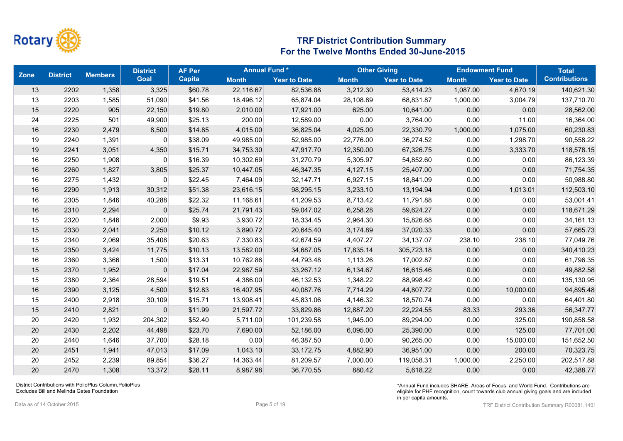

| <b>Zone</b> | <b>District</b> | <b>Members</b> | <b>District</b> | <b>AF Per</b> | <b>Annual Fund*</b> |                     |              | <b>Other Giving</b> |              | <b>Endowment Fund</b> | <b>Total</b>         |
|-------------|-----------------|----------------|-----------------|---------------|---------------------|---------------------|--------------|---------------------|--------------|-----------------------|----------------------|
|             |                 |                | Goal            | <b>Capita</b> | <b>Month</b>        | <b>Year to Date</b> | <b>Month</b> | <b>Year to Date</b> | <b>Month</b> | <b>Year to Date</b>   | <b>Contributions</b> |
| 13          | 2202            | 1,358          | 3,325           | \$60.78       | 22,116.67           | 82,536.88           | 3,212.30     | 53,414.23           | 1,087.00     | 4,670.19              | 140,621.30           |
| 13          | 2203            | 1,585          | 51,090          | \$41.56       | 18,496.12           | 65,874.04           | 28,108.89    | 68,831.87           | 1,000.00     | 3,004.79              | 137,710.70           |
| 15          | 2220            | 905            | 22,150          | \$19.80       | 2,010.00            | 17,921.00           | 625.00       | 10,641.00           | 0.00         | 0.00                  | 28,562.00            |
| 24          | 2225            | 501            | 49,900          | \$25.13       | 200.00              | 12,589.00           | 0.00         | 3,764.00            | 0.00         | 11.00                 | 16,364.00            |
| 16          | 2230            | 2,479          | 8,500           | \$14.85       | 4,015.00            | 36,825.04           | 4,025.00     | 22,330.79           | 1,000.00     | 1,075.00              | 60,230.83            |
| 19          | 2240            | 1,391          | 0               | \$38.09       | 49,985.00           | 52,985.00           | 22,776.00    | 36,274.52           | 0.00         | 1,298.70              | 90,558.22            |
| 19          | 2241            | 3,051          | 4,350           | \$15.71       | 34,753.30           | 47,917.70           | 12,350.00    | 67,326.75           | 0.00         | 3,333.70              | 118,578.15           |
| 16          | 2250            | 1,908          | 0               | \$16.39       | 10,302.69           | 31,270.79           | 5,305.97     | 54,852.60           | 0.00         | 0.00                  | 86,123.39            |
| 16          | 2260            | 1,827          | 3,805           | \$25.37       | 10,447.05           | 46,347.35           | 4,127.15     | 25,407.00           | 0.00         | 0.00                  | 71,754.35            |
| 16          | 2275            | 1,432          | 0               | \$22.45       | 7,464.09            | 32,147.71           | 6,927.15     | 18,841.09           | 0.00         | 0.00                  | 50,988.80            |
| 16          | 2290            | 1,913          | 30,312          | \$51.38       | 23,616.15           | 98,295.15           | 3,233.10     | 13,194.94           | 0.00         | 1,013.01              | 112,503.10           |
| 16          | 2305            | 1,846          | 40,288          | \$22.32       | 11,168.61           | 41,209.53           | 8,713.42     | 11,791.88           | 0.00         | 0.00                  | 53,001.41            |
| 16          | 2310            | 2,294          | $\mathbf{0}$    | \$25.74       | 21,791.43           | 59,047.02           | 6,258.28     | 59,624.27           | 0.00         | 0.00                  | 118,671.29           |
| 15          | 2320            | 1,846          | 2,000           | \$9.93        | 3,930.72            | 18,334.45           | 2,964.30     | 15,826.68           | 0.00         | 0.00                  | 34, 161. 13          |
| 15          | 2330            | 2,041          | 2,250           | \$10.12       | 3,890.72            | 20,645.40           | 3,174.89     | 37,020.33           | 0.00         | 0.00                  | 57,665.73            |
| 15          | 2340            | 2,069          | 35,408          | \$20.63       | 7,330.83            | 42,674.59           | 4,407.27     | 34,137.07           | 238.10       | 238.10                | 77,049.76            |
| 15          | 2350            | 3,424          | 11,775          | \$10.13       | 13,582.00           | 34,687.05           | 17,835.14    | 305,723.18          | 0.00         | 0.00                  | 340,410.23           |
| 16          | 2360            | 3,366          | 1,500           | \$13.31       | 10,762.86           | 44,793.48           | 1,113.26     | 17,002.87           | 0.00         | 0.00                  | 61,796.35            |
| 15          | 2370            | 1,952          | $\mathbf 0$     | \$17.04       | 22,987.59           | 33,267.12           | 6,134.67     | 16,615.46           | 0.00         | 0.00                  | 49,882.58            |
| 15          | 2380            | 2,364          | 28,594          | \$19.51       | 4,386.00            | 46,132.53           | 1,348.22     | 88,998.42           | 0.00         | 0.00                  | 135,130.95           |
| 16          | 2390            | 3,125          | 4,500           | \$12.83       | 16,407.95           | 40,087.76           | 7,714.29     | 44,807.72           | 0.00         | 10,000.00             | 94,895.48            |
| 15          | 2400            | 2,918          | 30,109          | \$15.71       | 13,908.41           | 45,831.06           | 4,146.32     | 18,570.74           | 0.00         | 0.00                  | 64,401.80            |
| 15          | 2410            | 2,821          | $\mathbf{0}$    | \$11.99       | 21,597.72           | 33,829.86           | 12,887.20    | 22,224.55           | 83.33        | 293.36                | 56,347.77            |
| 20          | 2420            | 1,932          | 204,302         | \$52.40       | 5,711.00            | 101,239.58          | 1,945.00     | 89,294.00           | 0.00         | 325.00                | 190,858.58           |
| 20          | 2430            | 2,202          | 44,498          | \$23.70       | 7,690.00            | 52,186.00           | 6,095.00     | 25,390.00           | 0.00         | 125.00                | 77,701.00            |
| 20          | 2440            | 1,646          | 37,700          | \$28.18       | 0.00                | 46,387.50           | 0.00         | 90,265.00           | 0.00         | 15,000.00             | 151,652.50           |
| 20          | 2451            | 1,941          | 47,013          | \$17.09       | 1,043.10            | 33, 172. 75         | 4,882.90     | 36,951.00           | 0.00         | 200.00                | 70,323.75            |
| 20          | 2452            | 2,239          | 89,854          | \$36.27       | 14,363.44           | 81,209.57           | 7,000.00     | 119,058.31          | 1,000.00     | 2,250.00              | 202,517.88           |
| 20          | 2470            | 1,308          | 13,372          | \$28.11       | 8,987.98            | 36,770.55           | 880.42       | 5,618.22            | 0.00         | 0.00                  | 42,388.77            |

District Contributions with PolioPlus Column,PolioPlus Excludes Bill and Melinda Gates Foundation

Data as of 14 October 2015 **Page 5** of 19 **Page 5** of 19 **Page 5** of 19 **Page 5** of 19 **Page 5** of 19 **Page 5** of 19 **Page 5** of 19 **Page 5** of 19 **Page 5** of 19 **Page 5** of 19 **Page 5** of 19 **Page 5** of 19 **Page 19 Page**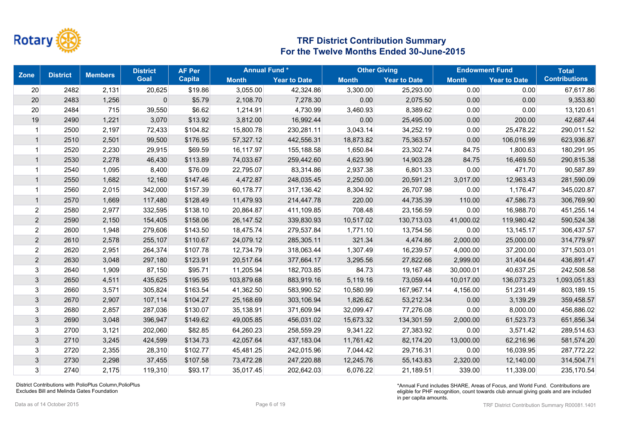

| <b>Zone</b>    | <b>District</b> | <b>Members</b> | <b>District</b> | <b>AF Per</b> | <b>Annual Fund*</b> |                     |              | <b>Other Giving</b> |              | <b>Endowment Fund</b> | <b>Total</b>         |
|----------------|-----------------|----------------|-----------------|---------------|---------------------|---------------------|--------------|---------------------|--------------|-----------------------|----------------------|
|                |                 |                | <b>Goal</b>     | <b>Capita</b> | <b>Month</b>        | <b>Year to Date</b> | <b>Month</b> | <b>Year to Date</b> | <b>Month</b> | <b>Year to Date</b>   | <b>Contributions</b> |
| 20             | 2482            | 2,131          | 20,625          | \$19.86       | 3,055.00            | 42,324.86           | 3,300.00     | 25,293.00           | 0.00         | 0.00                  | 67,617.86            |
| 20             | 2483            | 1,256          | 0               | \$5.79        | 2,108.70            | 7,278.30            | 0.00         | 2,075.50            | 0.00         | 0.00                  | 9,353.80             |
| 20             | 2484            | 715            | 39,550          | \$6.62        | 1,214.91            | 4,730.99            | 3,460.93     | 8,389.62            | 0.00         | 0.00                  | 13,120.61            |
| 19             | 2490            | 1,221          | 3,070           | \$13.92       | 3,812.00            | 16,992.44           | 0.00         | 25,495.00           | 0.00         | 200.00                | 42,687.44            |
|                | 2500            | 2,197          | 72,433          | \$104.82      | 15,800.78           | 230,281.11          | 3,043.14     | 34,252.19           | 0.00         | 25,478.22             | 290,011.52           |
|                | 2510            | 2,501          | 99,500          | \$176.95      | 57,327.12           | 442,556.31          | 18,873.82    | 75,363.57           | 0.00         | 106,016.99            | 623,936.87           |
|                | 2520            | 2,230          | 29,915          | \$69.59       | 16,117.97           | 155,188.58          | 1,650.84     | 23,302.74           | 84.75        | 1,800.63              | 180,291.95           |
| $\mathbf 1$    | 2530            | 2,278          | 46,430          | \$113.89      | 74,033.67           | 259,442.60          | 4,623.90     | 14,903.28           | 84.75        | 16,469.50             | 290,815.38           |
|                | 2540            | 1,095          | 8,400           | \$76.09       | 22,795.07           | 83,314.86           | 2,937.38     | 6,801.33            | 0.00         | 471.70                | 90,587.89            |
| -1             | 2550            | 1,682          | 12,160          | \$147.46      | 4,472.87            | 248,035.45          | 2,250.00     | 20,591.21           | 3,017.00     | 12,963.43             | 281,590.09           |
|                | 2560            | 2,015          | 342,000         | \$157.39      | 60,178.77           | 317,136.42          | 8,304.92     | 26,707.98           | 0.00         | 1,176.47              | 345,020.87           |
| $\mathbf{1}$   | 2570            | 1,669          | 117,480         | \$128.49      | 11,479.93           | 214,447.78          | 220.00       | 44,735.39           | 110.00       | 47,586.73             | 306,769.90           |
| $\mathbf{2}$   | 2580            | 2,977          | 332,595         | \$138.10      | 20,864.87           | 411,109.85          | 708.48       | 23,156.59           | 0.00         | 16,988.70             | 451,255.14           |
| $\mathbf{2}$   | 2590            | 2,150          | 154,405         | \$158.06      | 26, 147.52          | 339,830.93          | 10,517.02    | 130,713.03          | 41,000.02    | 119,980.42            | 590,524.38           |
| $\overline{2}$ | 2600            | 1,948          | 279,606         | \$143.50      | 18,475.74           | 279,537.84          | 1,771.10     | 13,754.56           | 0.00         | 13,145.17             | 306,437.57           |
| $\overline{2}$ | 2610            | 2,578          | 255,107         | \$110.67      | 24,079.12           | 285,305.11          | 321.34       | 4,474.86            | 2,000.00     | 25,000.00             | 314,779.97           |
| $\mathbf{2}$   | 2620            | 2,951          | 264,374         | \$107.78      | 12,734.79           | 318,063.44          | 1,307.49     | 16,239.57           | 4,000.00     | 37,200.00             | 371,503.01           |
| $\overline{2}$ | 2630            | 3,048          | 297,180         | \$123.91      | 20,517.64           | 377,664.17          | 3,295.56     | 27,822.66           | 2,999.00     | 31,404.64             | 436,891.47           |
| 3              | 2640            | 1,909          | 87,150          | \$95.71       | 11,205.94           | 182,703.85          | 84.73        | 19,167.48           | 30,000.01    | 40,637.25             | 242,508.58           |
| $\sqrt{3}$     | 2650            | 4,511          | 435,625         | \$195.95      | 103,879.68          | 883,919.16          | 5,119.16     | 73,059.44           | 10,017.00    | 136,073.23            | 1,093,051.83         |
| $\sqrt{3}$     | 2660            | 3,571          | 305,824         | \$163.54      | 41,362.50           | 583,990.52          | 10,580.99    | 167,967.14          | 4,156.00     | 51,231.49             | 803,189.15           |
| $\mathfrak{Z}$ | 2670            | 2,907          | 107,114         | \$104.27      | 25,168.69           | 303,106.94          | 1,826.62     | 53,212.34           | 0.00         | 3,139.29              | 359,458.57           |
| 3              | 2680            | 2,857          | 287,036         | \$130.07      | 35,138.91           | 371,609.94          | 32,099.47    | 77,276.08           | 0.00         | 8,000.00              | 456,886.02           |
| $\mathfrak{Z}$ | 2690            | 3,048          | 396,947         | \$149.62      | 49,005.85           | 456,031.02          | 15,673.32    | 134,301.59          | 2,000.00     | 61,523.73             | 651,856.34           |
| 3              | 2700            | 3,121          | 202,060         | \$82.85       | 64,260.23           | 258,559.29          | 9,341.22     | 27,383.92           | 0.00         | 3,571.42              | 289,514.63           |
| $\mathbf{3}$   | 2710            | 3,245          | 424,599         | \$134.73      | 42,057.64           | 437,183.04          | 11,761.42    | 82,174.20           | 13,000.00    | 62,216.96             | 581,574.20           |
| 3 <sup>1</sup> | 2720            | 2,355          | 28,310          | \$102.77      | 45,481.25           | 242,015.96          | 7,044.42     | 29,716.31           | 0.00         | 16,039.95             | 287,772.22           |
| 3              | 2730            | 2,298          | 37,455          | \$107.58      | 73,472.28           | 247,220.88          | 12,245.76    | 55, 143.83          | 2,320.00     | 12,140.00             | 314,504.71           |
| $\mathbf{3}$   | 2740            | 2,175          | 119,310         | \$93.17       | 35,017.45           | 202,642.03          | 6,076.22     | 21,189.51           | 339.00       | 11,339.00             | 235,170.54           |

District Contributions with PolioPlus Column,PolioPlus Excludes Bill and Melinda Gates Foundation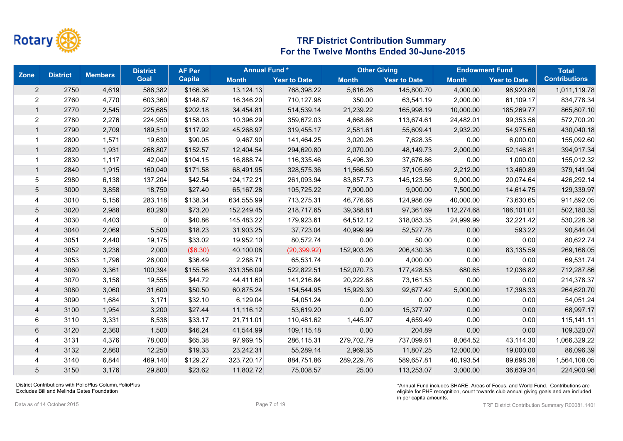

| <b>Zone</b><br><b>District</b> |      | <b>Members</b> | <b>District</b> | <b>Annual Fund*</b><br><b>AF Per</b> |              |                     | <b>Other Giving</b> |                     | <b>Endowment Fund</b> |                     | <b>Total</b>         |
|--------------------------------|------|----------------|-----------------|--------------------------------------|--------------|---------------------|---------------------|---------------------|-----------------------|---------------------|----------------------|
|                                |      |                | <b>Goal</b>     | <b>Capita</b>                        | <b>Month</b> | <b>Year to Date</b> | <b>Month</b>        | <b>Year to Date</b> | <b>Month</b>          | <b>Year to Date</b> | <b>Contributions</b> |
| $\overline{2}$                 | 2750 | 4,619          | 586,382         | \$166.36                             | 13,124.13    | 768,398.22          | 5,616.26            | 145,800.70          | 4,000.00              | 96,920.86           | 1,011,119.78         |
| $\mathbf{2}$                   | 2760 | 4,770          | 603,360         | \$148.87                             | 16,346.20    | 710,127.98          | 350.00              | 63,541.19           | 2,000.00              | 61,109.17           | 834,778.34           |
| $\mathbf{1}$                   | 2770 | 2,545          | 225,685         | \$202.18                             | 34,454.81    | 514,539.14          | 21,239.22           | 165,998.19          | 10,000.00             | 185,269.77          | 865,807.10           |
| 2 <sup>2</sup>                 | 2780 | 2,276          | 224,950         | \$158.03                             | 10,396.29    | 359,672.03          | 4,668.66            | 113,674.61          | 24,482.01             | 99,353.56           | 572,700.20           |
| $\mathbf{1}$                   | 2790 | 2,709          | 189,510         | \$117.92                             | 45,268.97    | 319,455.17          | 2,581.61            | 55,609.41           | 2,932.20              | 54,975.60           | 430,040.18           |
|                                | 2800 | 1,571          | 19,630          | \$90.05                              | 9,467.90     | 141,464.25          | 3,020.26            | 7,628.35            | 0.00                  | 6,000.00            | 155,092.60           |
| $\mathbf{1}$                   | 2820 | 1,931          | 268,807         | \$152.57                             | 12,404.54    | 294,620.80          | 2,070.00            | 48,149.73           | 2,000.00              | 52,146.81           | 394,917.34           |
|                                | 2830 | 1,117          | 42,040          | \$104.15                             | 16,888.74    | 116,335.46          | 5,496.39            | 37,676.86           | 0.00                  | 1,000.00            | 155,012.32           |
| $\mathbf{1}$                   | 2840 | 1,915          | 160,040         | \$171.58                             | 68,491.95    | 328,575.36          | 11,566.50           | 37,105.69           | 2,212.00              | 13,460.89           | 379,141.94           |
| 5 <sup>1</sup>                 | 2980 | 6,138          | 137,204         | \$42.54                              | 124, 172. 21 | 261,093.94          | 83,857.73           | 145,123.56          | 9,000.00              | 20,074.64           | 426,292.14           |
| $5\overline{)}$                | 3000 | 3,858          | 18,750          | \$27.40                              | 65,167.28    | 105,725.22          | 7,900.00            | 9,000.00            | 7,500.00              | 14,614.75           | 129,339.97           |
| $\overline{4}$                 | 3010 | 5,156          | 283,118         | \$138.34                             | 634,555.99   | 713,275.31          | 46,776.68           | 124,986.09          | 40,000.00             | 73,630.65           | 911,892.05           |
| $\overline{5}$                 | 3020 | 2,988          | 60,290          | \$73.20                              | 152,249.45   | 218,717.65          | 39,388.81           | 97,361.69           | 112,274.68            | 186,101.01          | 502,180.35           |
| $\overline{4}$                 | 3030 | 4,403          | 0               | \$40.86                              | 145,483.22   | 179,923.61          | 64,512.12           | 318,083.35          | 24,999.99             | 32,221.42           | 530,228.38           |
| $\overline{4}$                 | 3040 | 2,069          | 5,500           | \$18.23                              | 31,903.25    | 37,723.04           | 40,999.99           | 52,527.78           | 0.00                  | 593.22              | 90,844.04            |
| 4                              | 3051 | 2,440          | 19,175          | \$33.02                              | 19,952.10    | 80,572.74           | 0.00                | 50.00               | 0.00                  | 0.00                | 80,622.74            |
| $\overline{4}$                 | 3052 | 3,236          | 2,000           | (\$6.30)                             | 40,100.08    | (20, 399.92)        | 152,903.26          | 206,430.38          | 0.00                  | 83,135.59           | 269,166.05           |
| 4                              | 3053 | 1,796          | 26,000          | \$36.49                              | 2,288.71     | 65,531.74           | 0.00                | 4,000.00            | 0.00                  | 0.00                | 69,531.74            |
| 4                              | 3060 | 3,361          | 100,394         | \$155.56                             | 331,356.09   | 522,822.51          | 152,070.73          | 177,428.53          | 680.65                | 12,036.82           | 712,287.86           |
| 4                              | 3070 | 3,158          | 19,555          | \$44.72                              | 44,411.60    | 141,216.84          | 20,222.68           | 73,161.53           | 0.00                  | 0.00                | 214,378.37           |
| $\overline{4}$                 | 3080 | 3,060          | 31,600          | \$50.50                              | 60,875.24    | 154,544.95          | 15,929.30           | 92,677.42           | 5,000.00              | 17,398.33           | 264,620.70           |
| 4                              | 3090 | 1,684          | 3,171           | \$32.10                              | 6,129.04     | 54,051.24           | 0.00                | 0.00                | 0.00                  | 0.00                | 54,051.24            |
| $\overline{4}$                 | 3100 | 1,954          | 3,200           | \$27.44                              | 11,116.12    | 53,619.20           | 0.00                | 15,377.97           | 0.00                  | 0.00                | 68,997.17            |
| $6 \mid$                       | 3110 | 3,331          | 8,538           | \$33.17                              | 21,711.01    | 110,481.62          | 1,445.97            | 4,659.49            | 0.00                  | 0.00                | 115,141.11           |
| $\,6$                          | 3120 | 2,360          | 1,500           | \$46.24                              | 41,544.99    | 109,115.18          | 0.00                | 204.89              | 0.00                  | 0.00                | 109,320.07           |
| 4                              | 3131 | 4,376          | 78,000          | \$65.38                              | 97,969.15    | 286,115.31          | 279,702.79          | 737,099.61          | 8,064.52              | 43,114.30           | 1,066,329.22         |
| $\overline{4}$                 | 3132 | 2,860          | 12,250          | \$19.33                              | 23,242.31    | 55,289.14           | 2,969.35            | 11,807.25           | 12,000.00             | 19,000.00           | 86,096.39            |
| Δ                              | 3140 | 6,844          | 469,140         | \$129.27                             | 323,720.17   | 884,751.86          | 289,229.76          | 589,657.81          | 40,193.54             | 89,698.38           | 1,564,108.05         |
| 5 <sup>5</sup>                 | 3150 | 3,176          | 29,800          | \$23.62                              | 11,802.72    | 75,008.57           | 25.00               | 113,253.07          | 3,000.00              | 36,639.34           | 224,900.98           |

District Contributions with PolioPlus Column,PolioPlus Excludes Bill and Melinda Gates Foundation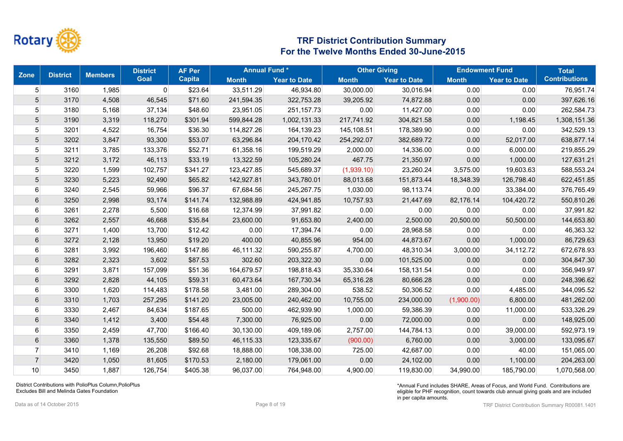

| <b>Zone</b><br><b>District</b> |      | <b>Members</b> | <b>District</b> | <b>AF Per</b> |              | <b>Annual Fund*</b> |              | <b>Other Giving</b> |              | <b>Endowment Fund</b> | <b>Total</b>         |
|--------------------------------|------|----------------|-----------------|---------------|--------------|---------------------|--------------|---------------------|--------------|-----------------------|----------------------|
|                                |      |                | <b>Goal</b>     | <b>Capita</b> | <b>Month</b> | <b>Year to Date</b> | <b>Month</b> | <b>Year to Date</b> | <b>Month</b> | <b>Year to Date</b>   | <b>Contributions</b> |
| $5\overline{)}$                | 3160 | 1,985          | 0               | \$23.64       | 33,511.29    | 46,934.80           | 30,000.00    | 30,016.94           | 0.00         | 0.00                  | 76,951.74            |
| $5\overline{)}$                | 3170 | 4,508          | 46,545          | \$71.60       | 241,594.35   | 322,753.28          | 39,205.92    | 74,872.88           | 0.00         | 0.00                  | 397,626.16           |
| 5 <sup>1</sup>                 | 3180 | 5,168          | 37,134          | \$48.60       | 23,951.05    | 251, 157. 73        | 0.00         | 11,427.00           | 0.00         | 0.00                  | 262,584.73           |
| 5 <sup>5</sup>                 | 3190 | 3,319          | 118,270         | \$301.94      | 599,844.28   | 1,002,131.33        | 217,741.92   | 304,821.58          | 0.00         | 1,198.45              | 1,308,151.36         |
| 5 <sup>1</sup>                 | 3201 | 4,522          | 16,754          | \$36.30       | 114,827.26   | 164,139.23          | 145,108.51   | 178,389.90          | 0.00         | 0.00                  | 342,529.13           |
| $\overline{5}$                 | 3202 | 3,847          | 93,300          | \$53.07       | 63,296.84    | 204,170.42          | 254,292.07   | 382,689.72          | 0.00         | 52,017.00             | 638,877.14           |
| 5 <sup>1</sup>                 | 3211 | 3,785          | 133,376         | \$52.71       | 61,358.16    | 199,519.29          | 2,000.00     | 14,336.00           | 0.00         | 6,000.00              | 219,855.29           |
| 5                              | 3212 | 3,172          | 46,113          | \$33.19       | 13,322.59    | 105,280.24          | 467.75       | 21,350.97           | 0.00         | 1,000.00              | 127,631.21           |
| 5 <sup>5</sup>                 | 3220 | 1,599          | 102,757         | \$341.27      | 123,427.85   | 545,689.37          | (1,939.10)   | 23,260.24           | 3,575.00     | 19,603.63             | 588,553.24           |
| 5                              | 3230 | 5,223          | 92,490          | \$65.82       | 142,927.81   | 343,780.01          | 88,013.68    | 151,873.44          | 18,348.39    | 126,798.40            | 622,451.85           |
| $6 \overline{6}$               | 3240 | 2,545          | 59,966          | \$96.37       | 67,684.56    | 245,267.75          | 1,030.00     | 98,113.74           | 0.00         | 33,384.00             | 376,765.49           |
| 6                              | 3250 | 2,998          | 93,174          | \$141.74      | 132,988.89   | 424,941.85          | 10,757.93    | 21,447.69           | 82,176.14    | 104,420.72            | 550,810.26           |
| $6 \mid$                       | 3261 | 2,278          | 5,500           | \$16.68       | 12,374.99    | 37,991.82           | 0.00         | 0.00                | 0.00         | 0.00                  | 37,991.82            |
| 6                              | 3262 | 2,557          | 46,668          | \$35.84       | 23,600.00    | 91,653.80           | 2,400.00     | 2,500.00            | 20,500.00    | 50,500.00             | 144,653.80           |
| 6                              | 3271 | 1,400          | 13,700          | \$12.42       | 0.00         | 17,394.74           | 0.00         | 28,968.58           | 0.00         | 0.00                  | 46,363.32            |
| 6                              | 3272 | 2,128          | 13,950          | \$19.20       | 400.00       | 40,855.96           | 954.00       | 44,873.67           | 0.00         | 1,000.00              | 86,729.63            |
| 6                              | 3281 | 3,992          | 196,460         | \$147.86      | 46,111.32    | 590,255.87          | 4,700.00     | 48,310.34           | 3,000.00     | 34,112.72             | 672,678.93           |
| 6                              | 3282 | 2,323          | 3,602           | \$87.53       | 302.60       | 203,322.30          | 0.00         | 101,525.00          | 0.00         | 0.00                  | 304,847.30           |
| $6 \mid$                       | 3291 | 3,871          | 157,099         | \$51.36       | 164,679.57   | 198,818.43          | 35,330.64    | 158,131.54          | 0.00         | 0.00                  | 356,949.97           |
| $6 \overline{6}$               | 3292 | 2,828          | 44,105          | \$59.31       | 60,473.64    | 167,730.34          | 65,316.28    | 80,666.28           | 0.00         | 0.00                  | 248,396.62           |
| $6 \mid$                       | 3300 | 1,620          | 114,483         | \$178.58      | 3,481.00     | 289,304.00          | 538.52       | 50,306.52           | 0.00         | 4,485.00              | 344,095.52           |
| 6                              | 3310 | 1,703          | 257,295         | \$141.20      | 23,005.00    | 240,462.00          | 10,755.00    | 234,000.00          | (1,900.00)   | 6,800.00              | 481,262.00           |
| 6                              | 3330 | 2,467          | 84,634          | \$187.65      | 500.00       | 462,939.90          | 1,000.00     | 59,386.39           | 0.00         | 11,000.00             | 533,326.29           |
| $6 \mid$                       | 3340 | 1,412          | 3,400           | \$54.48       | 7,300.00     | 76,925.00           | 0.00         | 72,000.00           | 0.00         | 0.00                  | 148,925.00           |
| $6 \mid$                       | 3350 | 2,459          | 47,700          | \$166.40      | 30,130.00    | 409,189.06          | 2,757.00     | 144,784.13          | 0.00         | 39,000.00             | 592,973.19           |
| 6                              | 3360 | 1,378          | 135,550         | \$89.50       | 46,115.33    | 123,335.67          | (900.00)     | 6,760.00            | 0.00         | 3,000.00              | 133,095.67           |
| $\overline{7}$                 | 3410 | 1,169          | 26,208          | \$92.68       | 18,888.00    | 108,338.00          | 725.00       | 42,687.00           | 0.00         | 40.00                 | 151,065.00           |
| $\overline{7}$                 | 3420 | 1,050          | 81,605          | \$170.53      | 2,180.00     | 179,061.00          | 0.00         | 24,102.00           | 0.00         | 1,100.00              | 204,263.00           |
| 10                             | 3450 | 1.887          | 126.754         | \$405.38      | 96.037.00    | 764.948.00          | 4,900.00     | 119,830.00          | 34,990.00    | 185,790.00            | 1,070,568.00         |

District Contributions with PolioPlus Column,PolioPlus Excludes Bill and Melinda Gates Foundation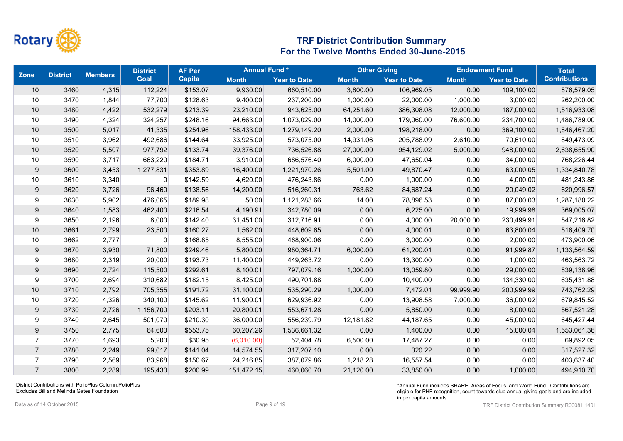

| <b>Zone</b>    | <b>District</b> | <b>Members</b> | <b>District</b> | <b>AF Per</b> | <b>Annual Fund*</b> |                     |              | <b>Other Giving</b> |              | <b>Endowment Fund</b> | <b>Total</b>         |
|----------------|-----------------|----------------|-----------------|---------------|---------------------|---------------------|--------------|---------------------|--------------|-----------------------|----------------------|
|                |                 |                | <b>Goal</b>     | <b>Capita</b> | <b>Month</b>        | <b>Year to Date</b> | <b>Month</b> | <b>Year to Date</b> | <b>Month</b> | <b>Year to Date</b>   | <b>Contributions</b> |
| $10$           | 3460            | 4,315          | 112,224         | \$153.07      | 9,930.00            | 660,510.00          | 3,800.00     | 106,969.05          | 0.00         | 109,100.00            | 876,579.05           |
| 10             | 3470            | 1,844          | 77,700          | \$128.63      | 9,400.00            | 237,200.00          | 1,000.00     | 22,000.00           | 1,000.00     | 3,000.00              | 262,200.00           |
| 10             | 3480            | 4,422          | 532,279         | \$213.39      | 23,210.00           | 943,625.00          | 64,251.60    | 386,308.08          | 12,000.00    | 187,000.00            | 1,516,933.08         |
| 10             | 3490            | 4,324          | 324,257         | \$248.16      | 94,663.00           | 1,073,029.00        | 14,000.00    | 179,060.00          | 76,600.00    | 234,700.00            | 1,486,789.00         |
| $10$           | 3500            | 5,017          | 41,335          | \$254.96      | 158,433.00          | 1,279,149.20        | 2,000.00     | 198,218.00          | 0.00         | 369,100.00            | 1,846,467.20         |
| 10             | 3510            | 3,962          | 492,686         | \$144.64      | 33,925.00           | 573,075.00          | 14,931.06    | 205,788.09          | 2,610.00     | 70,610.00             | 849,473.09           |
| 10             | 3520            | 5,507          | 977,792         | \$133.74      | 39,376.00           | 736,526.88          | 27,000.00    | 954,129.02          | 5,000.00     | 948,000.00            | 2,638,655.90         |
| 10             | 3590            | 3,717          | 663,220         | \$184.71      | 3,910.00            | 686,576.40          | 6,000.00     | 47,650.04           | 0.00         | 34,000.00             | 768,226.44           |
| 9              | 3600            | 3,453          | 1,277,831       | \$353.89      | 16,400.00           | 1,221,970.26        | 5,501.00     | 49,870.47           | 0.00         | 63,000.05             | 1,334,840.78         |
| 10             | 3610            | 3,340          | 0               | \$142.59      | 4,620.00            | 476,243.86          | 0.00         | 1,000.00            | 0.00         | 4,000.00              | 481,243.86           |
| 9              | 3620            | 3,726          | 96,460          | \$138.56      | 14,200.00           | 516,260.31          | 763.62       | 84,687.24           | 0.00         | 20,049.02             | 620,996.57           |
| 9              | 3630            | 5,902          | 476,065         | \$189.98      | 50.00               | 1,121,283.66        | 14.00        | 78,896.53           | 0.00         | 87,000.03             | 1,287,180.22         |
| 9              | 3640            | 1,583          | 462,400         | \$216.54      | 4,190.91            | 342,780.09          | 0.00         | 6,225.00            | 0.00         | 19,999.98             | 369,005.07           |
| 9              | 3650            | 2,196          | 8,000           | \$142.40      | 31,451.00           | 312,716.91          | 0.00         | 4,000.00            | 20,000.00    | 230,499.91            | 547,216.82           |
| 10             | 3661            | 2,799          | 23,500          | \$160.27      | 1,562.00            | 448,609.65          | 0.00         | 4,000.01            | 0.00         | 63,800.04             | 516,409.70           |
| 10             | 3662            | 2,777          | 0               | \$168.85      | 8,555.00            | 468,900.06          | 0.00         | 3,000.00            | 0.00         | 2,000.00              | 473,900.06           |
| 9              | 3670            | 3,930          | 71,800          | \$249.46      | 5,800.00            | 980,364.71          | 6,000.00     | 61,200.01           | 0.00         | 91,999.87             | 1,133,564.59         |
| 9              | 3680            | 2,319          | 20,000          | \$193.73      | 11,400.00           | 449,263.72          | 0.00         | 13,300.00           | 0.00         | 1,000.00              | 463,563.72           |
| 9              | 3690            | 2,724          | 115,500         | \$292.61      | 8,100.01            | 797,079.16          | 1,000.00     | 13,059.80           | 0.00         | 29,000.00             | 839,138.96           |
| 9              | 3700            | 2,694          | 310,682         | \$182.15      | 8,425.00            | 490,701.88          | 0.00         | 10,400.00           | 0.00         | 134,330.00            | 635,431.88           |
| 10             | 3710            | 2,792          | 705,355         | \$191.72      | 31,100.00           | 535,290.29          | 1,000.00     | 7,472.01            | 99,999.90    | 200,999.99            | 743,762.29           |
| 10             | 3720            | 4,326          | 340,100         | \$145.62      | 11,900.01           | 629,936.92          | 0.00         | 13,908.58           | 7,000.00     | 36,000.02             | 679,845.52           |
| 9              | 3730            | 2,726          | 1,156,700       | \$203.11      | 20,800.01           | 553,671.28          | 0.00         | 5,850.00            | 0.00         | 8,000.00              | 567,521.28           |
| 9              | 3740            | 2,645          | 501,070         | \$210.30      | 36,000.00           | 556,239.79          | 12,181.82    | 44,187.65           | 0.00         | 45,000.00             | 645,427.44           |
| 9              | 3750            | 2,775          | 64,600          | \$553.75      | 60,207.26           | 1,536,661.32        | 0.00         | 1,400.00            | 0.00         | 15,000.04             | 1,553,061.36         |
| $\overline{7}$ | 3770            | 1,693          | 5,200           | \$30.95       | (6,010.00)          | 52,404.78           | 6,500.00     | 17,487.27           | 0.00         | 0.00                  | 69,892.05            |
| $\overline{7}$ | 3780            | 2,249          | 99,017          | \$141.04      | 14,574.55           | 317,207.10          | 0.00         | 320.22              | 0.00         | 0.00                  | 317,527.32           |
| $\overline{7}$ | 3790            | 2,569          | 83,968          | \$150.67      | 24,216.85           | 387,079.86          | 1,218.28     | 16,557.54           | 0.00         | 0.00                  | 403,637.40           |
| $\overline{7}$ | 3800            | 2,289          | 195,430         | \$200.99      | 151,472.15          | 460.060.70          | 21,120.00    | 33,850.00           | 0.00         | 1,000.00              | 494,910.70           |

District Contributions with PolioPlus Column,PolioPlus Excludes Bill and Melinda Gates Foundation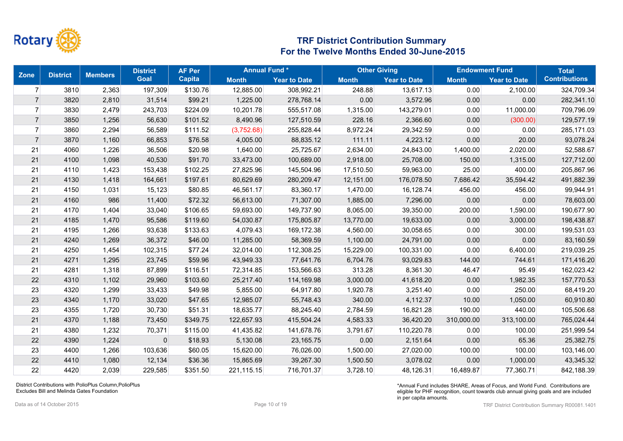

| <b>Zone</b>    | <b>District</b> | <b>Members</b> | <b>District</b> | <b>AF Per</b> | <b>Annual Fund*</b> |                     |              | <b>Other Giving</b> |              | <b>Endowment Fund</b> | <b>Total</b>         |
|----------------|-----------------|----------------|-----------------|---------------|---------------------|---------------------|--------------|---------------------|--------------|-----------------------|----------------------|
|                |                 |                | <b>Goal</b>     | <b>Capita</b> | <b>Month</b>        | <b>Year to Date</b> | <b>Month</b> | <b>Year to Date</b> | <b>Month</b> | <b>Year to Date</b>   | <b>Contributions</b> |
| $\overline{7}$ | 3810            | 2,363          | 197,309         | \$130.76      | 12,885.00           | 308,992.21          | 248.88       | 13,617.13           | 0.00         | 2,100.00              | 324,709.34           |
| $\overline{7}$ | 3820            | 2,810          | 31,514          | \$99.21       | 1,225.00            | 278,768.14          | 0.00         | 3,572.96            | 0.00         | 0.00                  | 282,341.10           |
| $\overline{7}$ | 3830            | 2,479          | 243,703         | \$224.09      | 10,201.78           | 555,517.08          | 1,315.00     | 143,279.01          | 0.00         | 11,000.00             | 709,796.09           |
| $\overline{7}$ | 3850            | 1,256          | 56,630          | \$101.52      | 8,490.96            | 127,510.59          | 228.16       | 2,366.60            | 0.00         | (300.00)              | 129,577.19           |
| $\overline{7}$ | 3860            | 2,294          | 56,589          | \$111.52      | (3,752.68)          | 255,828.44          | 8,972.24     | 29,342.59           | 0.00         | 0.00                  | 285,171.03           |
| $\overline{7}$ | 3870            | 1,160          | 66,853          | \$76.58       | 4,005.00            | 88,835.12           | 111.11       | 4,223.12            | 0.00         | 20.00                 | 93,078.24            |
| 21             | 4060            | 1,226          | 36,506          | \$20.98       | 1,640.00            | 25,725.67           | 2,634.00     | 24,843.00           | 1,400.00     | 2,020.00              | 52,588.67            |
| 21             | 4100            | 1,098          | 40,530          | \$91.70       | 33,473.00           | 100,689.00          | 2,918.00     | 25,708.00           | 150.00       | 1,315.00              | 127,712.00           |
| 21             | 4110            | 1,423          | 153,438         | \$102.25      | 27,825.96           | 145,504.96          | 17,510.50    | 59,963.00           | 25.00        | 400.00                | 205,867.96           |
| 21             | 4130            | 1,418          | 164,661         | \$197.61      | 80,629.69           | 280,209.47          | 12,151.00    | 176,078.50          | 7,686.42     | 35,594.42             | 491,882.39           |
| 21             | 4150            | 1,031          | 15,123          | \$80.85       | 46,561.17           | 83,360.17           | 1,470.00     | 16,128.74           | 456.00       | 456.00                | 99,944.91            |
| 21             | 4160            | 986            | 11,400          | \$72.32       | 56,613.00           | 71,307.00           | 1,885.00     | 7,296.00            | 0.00         | 0.00                  | 78,603.00            |
| 21             | 4170            | 1,404          | 33,040          | \$106.65      | 59,693.00           | 149,737.90          | 8,065.00     | 39,350.00           | 200.00       | 1,590.00              | 190,677.90           |
| 21             | 4185            | 1,470          | 95,586          | \$119.60      | 54,030.87           | 175,805.87          | 13,770.00    | 19,633.00           | 0.00         | 3,000.00              | 198,438.87           |
| 21             | 4195            | 1,266          | 93,638          | \$133.63      | 4,079.43            | 169,172.38          | 4,560.00     | 30,058.65           | 0.00         | 300.00                | 199,531.03           |
| 21             | 4240            | 1,269          | 36,372          | \$46.00       | 11,285.00           | 58,369.59           | 1,100.00     | 24,791.00           | 0.00         | 0.00                  | 83,160.59            |
| 21             | 4250            | 1,454          | 102,315         | \$77.24       | 32,014.00           | 112,308.25          | 15,229.00    | 100,331.00          | 0.00         | 6,400.00              | 219,039.25           |
| 21             | 4271            | 1,295          | 23,745          | \$59.96       | 43,949.33           | 77,641.76           | 6,704.76     | 93,029.83           | 144.00       | 744.61                | 171,416.20           |
| 21             | 4281            | 1,318          | 87,899          | \$116.51      | 72,314.85           | 153,566.63          | 313.28       | 8,361.30            | 46.47        | 95.49                 | 162,023.42           |
| 22             | 4310            | 1,102          | 29,960          | \$103.60      | 25,217.40           | 114,169.98          | 3,000.00     | 41,618.20           | 0.00         | 1,982.35              | 157,770.53           |
| 23             | 4320            | 1,299          | 33,433          | \$49.98       | 5,855.00            | 64,917.80           | 1,920.78     | 3,251.40            | 0.00         | 250.00                | 68,419.20            |
| 23             | 4340            | 1,170          | 33,020          | \$47.65       | 12,985.07           | 55,748.43           | 340.00       | 4,112.37            | 10.00        | 1,050.00              | 60,910.80            |
| 23             | 4355            | 1,720          | 30,730          | \$51.31       | 18,635.77           | 88,245.40           | 2,784.59     | 16,821.28           | 190.00       | 440.00                | 105,506.68           |
| 21             | 4370            | 1,188          | 73,450          | \$349.75      | 122,657.93          | 415,504.24          | 4,583.33     | 36,420.20           | 310,000.00   | 313,100.00            | 765,024.44           |
| 21             | 4380            | 1,232          | 70,371          | \$115.00      | 41,435.82           | 141,678.76          | 3,791.67     | 110,220.78          | 0.00         | 100.00                | 251,999.54           |
| 22             | 4390            | 1,224          | $\mathbf 0$     | \$18.93       | 5,130.08            | 23,165.75           | 0.00         | 2,151.64            | 0.00         | 65.36                 | 25,382.75            |
| 23             | 4400            | 1,266          | 103,636         | \$60.05       | 15,620.00           | 76,026.00           | 1,500.00     | 27,020.00           | 100.00       | 100.00                | 103,146.00           |
| 22             | 4410            | 1,080          | 12,134          | \$36.36       | 15,865.69           | 39,267.30           | 1,500.50     | 3,078.02            | 0.00         | 1,000.00              | 43,345.32            |
| 22             | 4420            | 2,039          | 229,585         | \$351.50      | 221,115.15          | 716.701.37          | 3,728.10     | 48,126.31           | 16,489.87    | 77.360.71             | 842,188.39           |

District Contributions with PolioPlus Column,PolioPlus Excludes Bill and Melinda Gates Foundation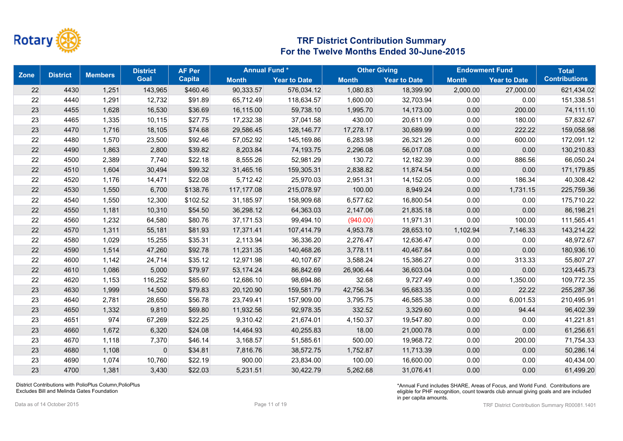

| Zone | <b>District</b> | <b>Members</b> | <b>District</b> | <b>AF Per</b> | <b>Annual Fund*</b> |                     |              | <b>Other Giving</b> |              | <b>Endowment Fund</b> | <b>Total</b>         |
|------|-----------------|----------------|-----------------|---------------|---------------------|---------------------|--------------|---------------------|--------------|-----------------------|----------------------|
|      |                 |                | <b>Goal</b>     | Capita        | <b>Month</b>        | <b>Year to Date</b> | <b>Month</b> | <b>Year to Date</b> | <b>Month</b> | <b>Year to Date</b>   | <b>Contributions</b> |
| 22   | 4430            | 1,251          | 143,965         | \$460.46      | 90,333.57           | 576,034.12          | 1,080.83     | 18,399.90           | 2,000.00     | 27,000.00             | 621,434.02           |
| 22   | 4440            | 1,291          | 12,732          | \$91.89       | 65,712.49           | 118,634.57          | 1,600.00     | 32,703.94           | 0.00         | 0.00                  | 151,338.51           |
| 23   | 4455            | 1,628          | 16,530          | \$36.69       | 16,115.00           | 59,738.10           | 1,995.70     | 14,173.00           | 0.00         | 200.00                | 74,111.10            |
| 23   | 4465            | 1,335          | 10,115          | \$27.75       | 17,232.38           | 37,041.58           | 430.00       | 20,611.09           | 0.00         | 180.00                | 57,832.67            |
| 23   | 4470            | 1,716          | 18,105          | \$74.68       | 29,586.45           | 128,146.77          | 17,278.17    | 30,689.99           | 0.00         | 222.22                | 159,058.98           |
| 22   | 4480            | 1,570          | 23,500          | \$92.46       | 57,052.92           | 145,169.86          | 6,283.98     | 26,321.26           | 0.00         | 600.00                | 172,091.12           |
| 22   | 4490            | 1,863          | 2,800           | \$39.82       | 8,203.84            | 74,193.75           | 2,296.08     | 56,017.08           | 0.00         | 0.00                  | 130,210.83           |
| 22   | 4500            | 2,389          | 7,740           | \$22.18       | 8,555.26            | 52,981.29           | 130.72       | 12,182.39           | 0.00         | 886.56                | 66,050.24            |
| 22   | 4510            | 1,604          | 30,494          | \$99.32       | 31,465.16           | 159,305.31          | 2,838.82     | 11,874.54           | 0.00         | 0.00                  | 171,179.85           |
| 22   | 4520            | 1,176          | 14,471          | \$22.08       | 5,712.42            | 25,970.03           | 2,951.31     | 14,152.05           | 0.00         | 186.34                | 40,308.42            |
| 22   | 4530            | 1,550          | 6,700           | \$138.76      | 117,177.08          | 215,078.97          | 100.00       | 8,949.24            | 0.00         | 1,731.15              | 225,759.36           |
| 22   | 4540            | 1,550          | 12,300          | \$102.52      | 31,185.97           | 158,909.68          | 6,577.62     | 16,800.54           | 0.00         | 0.00                  | 175,710.22           |
| 22   | 4550            | 1,181          | 10,310          | \$54.50       | 36,298.12           | 64,363.03           | 2,147.06     | 21,835.18           | 0.00         | 0.00                  | 86,198.21            |
| 22   | 4560            | 1,232          | 64,580          | \$80.76       | 37,171.53           | 99,494.10           | (940.00)     | 11,971.31           | 0.00         | 100.00                | 111,565.41           |
| 22   | 4570            | 1,311          | 55,181          | \$81.93       | 17,371.41           | 107,414.79          | 4,953.78     | 28,653.10           | 1,102.94     | 7,146.33              | 143,214.22           |
| 22   | 4580            | 1,029          | 15,255          | \$35.31       | 2,113.94            | 36,336.20           | 2,276.47     | 12,636.47           | 0.00         | 0.00                  | 48,972.67            |
| 22   | 4590            | 1,514          | 47,260          | \$92.78       | 11,231.35           | 140,468.26          | 3,778.11     | 40,467.84           | 0.00         | 0.00                  | 180,936.10           |
| 22   | 4600            | 1,142          | 24,714          | \$35.12       | 12,971.98           | 40,107.67           | 3,588.24     | 15,386.27           | 0.00         | 313.33                | 55,807.27            |
| 22   | 4610            | 1,086          | 5,000           | \$79.97       | 53,174.24           | 86,842.69           | 26,906.44    | 36,603.04           | 0.00         | 0.00                  | 123,445.73           |
| 22   | 4620            | 1,153          | 116,252         | \$85.60       | 12,686.10           | 98,694.86           | 32.68        | 9,727.49            | 0.00         | 1,350.00              | 109,772.35           |
| 23   | 4630            | 1,999          | 14,500          | \$79.83       | 20,120.90           | 159,581.79          | 42,756.34    | 95,683.35           | 0.00         | 22.22                 | 255,287.36           |
| 23   | 4640            | 2,781          | 28,650          | \$56.78       | 23,749.41           | 157,909.00          | 3,795.75     | 46,585.38           | 0.00         | 6,001.53              | 210,495.91           |
| 23   | 4650            | 1,332          | 9,810           | \$69.80       | 11,932.56           | 92,978.35           | 332.52       | 3,329.60            | 0.00         | 94.44                 | 96,402.39            |
| 23   | 4651            | 974            | 67,269          | \$22.25       | 9,310.42            | 21,674.01           | 4,150.37     | 19,547.80           | 0.00         | 0.00                  | 41,221.81            |
| 23   | 4660            | 1,672          | 6,320           | \$24.08       | 14,464.93           | 40,255.83           | 18.00        | 21,000.78           | 0.00         | 0.00                  | 61,256.61            |
| 23   | 4670            | 1,118          | 7,370           | \$46.14       | 3,168.57            | 51,585.61           | 500.00       | 19,968.72           | 0.00         | 200.00                | 71,754.33            |
| 23   | 4680            | 1,108          | $\mathbf 0$     | \$34.81       | 7,816.76            | 38,572.75           | 1,752.87     | 11,713.39           | 0.00         | 0.00                  | 50,286.14            |
| 23   | 4690            | 1,074          | 10,760          | \$22.19       | 900.00              | 23,834.00           | 100.00       | 16,600.00           | 0.00         | 0.00                  | 40,434.00            |
| 23   | 4700            | 1,381          | 3,430           | \$22.03       | 5,231.51            | 30.422.79           | 5,262.68     | 31.076.41           | 0.00         | 0.00                  | 61,499.20            |

District Contributions with PolioPlus Column,PolioPlus Excludes Bill and Melinda Gates Foundation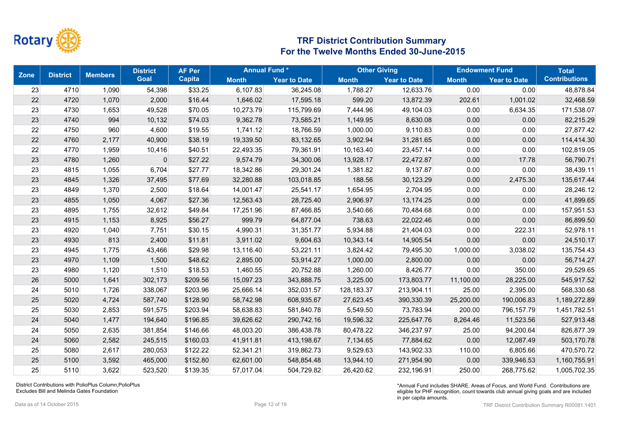

| <b>Zone</b> | <b>District</b> | <b>Members</b> | <b>District</b> | <b>AF Per</b> | <b>Annual Fund*</b> |                     | <b>Other Giving</b> |                     | <b>Endowment Fund</b> |                     | <b>Total</b>         |
|-------------|-----------------|----------------|-----------------|---------------|---------------------|---------------------|---------------------|---------------------|-----------------------|---------------------|----------------------|
|             |                 |                | <b>Goal</b>     | <b>Capita</b> | <b>Month</b>        | <b>Year to Date</b> | <b>Month</b>        | <b>Year to Date</b> | <b>Month</b>          | <b>Year to Date</b> | <b>Contributions</b> |
| 23          | 4710            | 1,090          | 54,398          | \$33.25       | 6,107.83            | 36,245.08           | 1,788.27            | 12,633.76           | 0.00                  | 0.00                | 48,878.84            |
| 22          | 4720            | 1,070          | 2,000           | \$16.44       | 1,646.02            | 17,595.18           | 599.20              | 13,872.39           | 202.61                | 1,001.02            | 32,468.59            |
| 23          | 4730            | 1,653          | 49,528          | \$70.05       | 10,273.79           | 115,799.69          | 7,444.96            | 49,104.03           | 0.00                  | 6,634.35            | 171,538.07           |
| 23          | 4740            | 994            | 10,132          | \$74.03       | 9,362.78            | 73,585.21           | 1,149.95            | 8,630.08            | 0.00                  | 0.00                | 82,215.29            |
| 22          | 4750            | 960            | 4,600           | \$19.55       | 1,741.12            | 18,766.59           | 1,000.00            | 9,110.83            | 0.00                  | 0.00                | 27,877.42            |
| 22          | 4760            | 2,177          | 40,900          | \$38.19       | 19,339.50           | 83,132.65           | 3,902.94            | 31,281.65           | 0.00                  | 0.00                | 114,414.30           |
| 22          | 4770            | 1,959          | 10,416          | \$40.51       | 22,493.35           | 79,361.91           | 10,163.40           | 23,457.14           | 0.00                  | 0.00                | 102,819.05           |
| 23          | 4780            | 1,260          | $\mathbf 0$     | \$27.22       | 9,574.79            | 34,300.06           | 13,928.17           | 22,472.87           | 0.00                  | 17.78               | 56,790.71            |
| 23          | 4815            | 1,055          | 6,704           | \$27.77       | 18,342.86           | 29,301.24           | 1,381.82            | 9,137.87            | 0.00                  | 0.00                | 38,439.11            |
| 23          | 4845            | 1,326          | 37,495          | \$77.69       | 32,280.88           | 103,018.85          | 188.56              | 30,123.29           | 0.00                  | 2,475.30            | 135,617.44           |
| 23          | 4849            | 1,370          | 2,500           | \$18.64       | 14,001.47           | 25,541.17           | 1,654.95            | 2,704.95            | 0.00                  | 0.00                | 28,246.12            |
| 23          | 4855            | 1,050          | 4,067           | \$27.36       | 12,563.43           | 28,725.40           | 2,906.97            | 13,174.25           | 0.00                  | 0.00                | 41,899.65            |
| 23          | 4895            | 1,755          | 32,612          | \$49.84       | 17,251.96           | 87,466.85           | 3,540.66            | 70,484.68           | 0.00                  | 0.00                | 157,951.53           |
| 23          | 4915            | 1,153          | 8,925           | \$56.27       | 999.79              | 64,877.04           | 738.63              | 22,022.46           | 0.00                  | 0.00                | 86,899.50            |
| 23          | 4920            | 1,040          | 7,751           | \$30.15       | 4,990.31            | 31,351.77           | 5,934.88            | 21,404.03           | 0.00                  | 222.31              | 52,978.11            |
| 23          | 4930            | 813            | 2,400           | \$11.81       | 3,911.02            | 9,604.63            | 10,343.14           | 14,905.54           | 0.00                  | 0.00                | 24,510.17            |
| 23          | 4945            | 1,775          | 43,466          | \$29.98       | 13,116.40           | 53,221.11           | 3,824.42            | 79,495.30           | 1,000.00              | 3,038.02            | 135,754.43           |
| 23          | 4970            | 1,109          | 1,500           | \$48.62       | 2,895.00            | 53,914.27           | 1,000.00            | 2,800.00            | 0.00                  | 0.00                | 56,714.27            |
| 23          | 4980            | 1,120          | 1,510           | \$18.53       | 1,460.55            | 20,752.88           | 1,260.00            | 8,426.77            | 0.00                  | 350.00              | 29,529.65            |
| 26          | 5000            | 1,641          | 302,173         | \$209.56      | 15,097.23           | 343,888.75          | 3,225.00            | 173,803.77          | 11,100.00             | 28,225.00           | 545,917.52           |
| 24          | 5010            | 1,726          | 338,067         | \$203.96      | 25,666.14           | 352,031.57          | 128,183.37          | 213,904.11          | 25.00                 | 2,395.00            | 568,330.68           |
| 25          | 5020            | 4,724          | 587,740         | \$128.90      | 58,742.98           | 608,935.67          | 27,623.45           | 390,330.39          | 25,200.00             | 190,006.83          | 1,189,272.89         |
| 25          | 5030            | 2,853          | 591,575         | \$203.94      | 58,638.83           | 581,840.78          | 5,549.50            | 73,783.94           | 200.00                | 796,157.79          | 1,451,782.51         |
| 24          | 5040            | 1,477          | 194,640         | \$196.85      | 39,626.62           | 290,742.16          | 19,596.32           | 225,647.76          | 8,264.46              | 11,523.56           | 527,913.48           |
| 24          | 5050            | 2,635          | 381,854         | \$146.66      | 48,003.20           | 386,438.78          | 80,478.22           | 346,237.97          | 25.00                 | 94,200.64           | 826,877.39           |
| 24          | 5060            | 2,582          | 245,515         | \$160.03      | 41,911.81           | 413,198.67          | 7,134.65            | 77,884.62           | 0.00                  | 12,087.49           | 503,170.78           |
| 25          | 5080            | 2,617          | 280,053         | \$122.22      | 52,341.21           | 319,862.73          | 9,529.63            | 143,902.33          | 110.00                | 6,805.66            | 470,570.72           |
| 25          | 5100            | 3,592          | 465,000         | \$152.80      | 62,601.00           | 548,854.48          | 13,944.10           | 271,954.90          | 0.00                  | 339,946.53          | 1,160,755.91         |
| 25          | 5110            | 3,622          | 523,520         | \$139.35      | 57.017.04           | 504,729.82          | 26,420.62           | 232,196.91          | 250.00                | 268,775.62          | 1,005,702.35         |

District Contributions with PolioPlus Column,PolioPlus Excludes Bill and Melinda Gates Foundation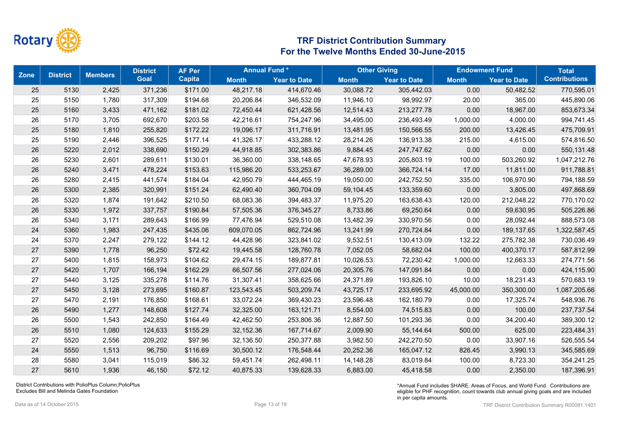

|    | <b>Zone</b><br><b>District</b> | <b>Members</b> | <b>District</b> | <b>AF Per</b> | <b>Annual Fund*</b> |                     | <b>Other Giving</b> |                     | <b>Endowment Fund</b> |                     | <b>Total</b>         |
|----|--------------------------------|----------------|-----------------|---------------|---------------------|---------------------|---------------------|---------------------|-----------------------|---------------------|----------------------|
|    |                                |                | <b>Goal</b>     | <b>Capita</b> | <b>Month</b>        | <b>Year to Date</b> | <b>Month</b>        | <b>Year to Date</b> | <b>Month</b>          | <b>Year to Date</b> | <b>Contributions</b> |
| 25 | 5130                           | 2,425          | 371,236         | \$171.00      | 48,217.18           | 414,670.46          | 30,088.72           | 305,442.03          | 0.00                  | 50,482.52           | 770,595.01           |
| 25 | 5150                           | 1,780          | 317,309         | \$194.68      | 20,206.84           | 346,532.09          | 11,946.10           | 98,992.97           | 20.00                 | 365.00              | 445,890.06           |
| 25 | 5160                           | 3,433          | 471,162         | \$181.02      | 72,450.44           | 621,428.56          | 12,514.43           | 213,277.78          | 0.00                  | 18,967.00           | 853,673.34           |
| 26 | 5170                           | 3,705          | 692,670         | \$203.58      | 42,216.61           | 754,247.96          | 34,495.00           | 236,493.49          | 1,000.00              | 4,000.00            | 994,741.45           |
| 25 | 5180                           | 1,810          | 255,820         | \$172.22      | 19,096.17           | 311,716.91          | 13,481.95           | 150,566.55          | 200.00                | 13,426.45           | 475,709.91           |
| 25 | 5190                           | 2,446          | 396,525         | \$177.14      | 41,326.17           | 433,288.12          | 28,214.26           | 136,913.38          | 215.00                | 4,615.00            | 574,816.50           |
| 26 | 5220                           | 2,012          | 338,690         | \$150.29      | 44,918.85           | 302,383.86          | 9,884.45            | 247,747.62          | 0.00                  | 0.00                | 550,131.48           |
| 26 | 5230                           | 2,601          | 289,611         | \$130.01      | 36,360.00           | 338,148.65          | 47,678.93           | 205,803.19          | 100.00                | 503,260.92          | 1,047,212.76         |
| 26 | 5240                           | 3,471          | 478,224         | \$153.63      | 115,986.20          | 533,253.67          | 36,289.00           | 366,724.14          | 17.00                 | 11,811.00           | 911,788.81           |
| 26 | 5280                           | 2,415          | 441,574         | \$184.04      | 42,950.79           | 444,465.19          | 19,050.00           | 242,752.50          | 335.00                | 106,970.90          | 794,188.59           |
| 26 | 5300                           | 2,385          | 320,991         | \$151.24      | 62,490.40           | 360,704.09          | 59,104.45           | 133,359.60          | 0.00                  | 3,805.00            | 497,868.69           |
| 26 | 5320                           | 1,874          | 191,642         | \$210.50      | 68,083.36           | 394,483.37          | 11,975.20           | 163,638.43          | 120.00                | 212,048.22          | 770,170.02           |
| 26 | 5330                           | 1,972          | 337,757         | \$190.84      | 57,505.36           | 376,345.27          | 8,733.86            | 69,250.64           | 0.00                  | 59,630.95           | 505,226.86           |
| 26 | 5340                           | 3,171          | 289,643         | \$166.99      | 77,476.94           | 529,510.08          | 13,482.39           | 330,970.56          | 0.00                  | 28,092.44           | 888,573.08           |
| 24 | 5360                           | 1,983          | 247,435         | \$435.06      | 609,070.05          | 862,724.96          | 13,241.99           | 270,724.84          | 0.00                  | 189,137.65          | 1,322,587.45         |
| 24 | 5370                           | 2,247          | 279,122         | \$144.12      | 44,428.96           | 323,841.02          | 9,532.51            | 130,413.09          | 132.22                | 275,782.38          | 730,036.49           |
| 27 | 5390                           | 1,778          | 96,250          | \$72.42       | 19,445.58           | 128,760.78          | 7,052.05            | 58,682.04           | 100.00                | 400,370.17          | 587,812.99           |
| 27 | 5400                           | 1,815          | 158,973         | \$104.62      | 29,474.15           | 189,877.81          | 10,026.53           | 72,230.42           | 1,000.00              | 12,663.33           | 274,771.56           |
| 27 | 5420                           | 1,707          | 166,194         | \$162.29      | 66,507.56           | 277,024.06          | 20,305.76           | 147,091.84          | 0.00                  | 0.00                | 424,115.90           |
| 27 | 5440                           | 3,125          | 335,278         | \$114.76      | 31,307.41           | 358,625.66          | 24,371.89           | 193,826.10          | 10.00                 | 18,231.43           | 570,683.19           |
| 27 | 5450                           | 3,128          | 273,695         | \$160.87      | 123,543.45          | 503,209.74          | 43,725.17           | 233,695.92          | 45,000.00             | 350,300.00          | 1,087,205.66         |
| 27 | 5470                           | 2,191          | 176,850         | \$168.61      | 33,072.24           | 369,430.23          | 23,596.48           | 162,180.79          | 0.00                  | 17,325.74           | 548,936.76           |
| 26 | 5490                           | 1,277          | 148,608         | \$127.74      | 32,325.00           | 163,121.71          | 8,554.00            | 74,515.83           | 0.00                  | 100.00              | 237,737.54           |
| 26 | 5500                           | 1,543          | 242,850         | \$164.49      | 42,462.50           | 253,806.36          | 12,887.50           | 101,293.36          | 0.00                  | 34,200.40           | 389,300.12           |
| 26 | 5510                           | 1,080          | 124,633         | \$155.29      | 32,152.36           | 167,714.67          | 2,009.90            | 55,144.64           | 500.00                | 625.00              | 223,484.31           |
| 27 | 5520                           | 2,556          | 209,202         | \$97.96       | 32,136.50           | 250,377.88          | 3,982.50            | 242,270.50          | 0.00                  | 33,907.16           | 526,555.54           |
| 24 | 5550                           | 1,513          | 96,750          | \$116.69      | 30,500.12           | 176,548.44          | 20,252.36           | 165,047.12          | 826.45                | 3,990.13            | 345,585.69           |
| 28 | 5580                           | 3,041          | 115,019         | \$86.32       | 59,451.74           | 262,498.11          | 14,148.28           | 83,019.84           | 100.00                | 8,723.30            | 354,241.25           |
| 27 | 5610                           | 1,936          | 46,150          | \$72.12       | 40,875.33           | 139,628.33          | 6,883.00            | 45,418.58           | 0.00                  | 2,350.00            | 187,396.91           |

District Contributions with PolioPlus Column,PolioPlus Excludes Bill and Melinda Gates Foundation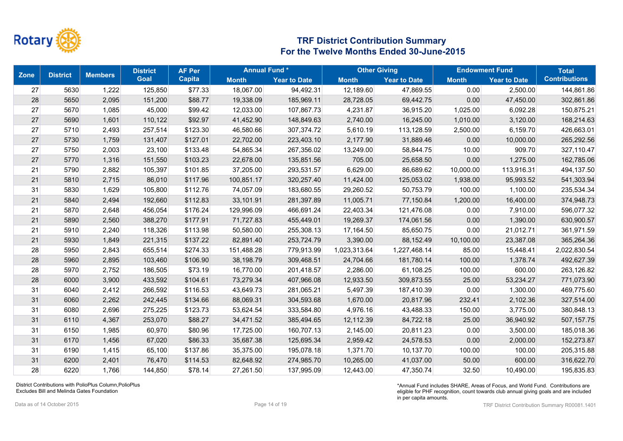

| <b>Zone</b> | <b>District</b> | <b>Members</b> | <b>District</b> | <b>AF Per</b> | <b>Annual Fund*</b> |                     | <b>Other Giving</b> |                     | <b>Endowment Fund</b> | <b>Total</b>        |                      |
|-------------|-----------------|----------------|-----------------|---------------|---------------------|---------------------|---------------------|---------------------|-----------------------|---------------------|----------------------|
|             |                 |                | <b>Goal</b>     | <b>Capita</b> | <b>Month</b>        | <b>Year to Date</b> | <b>Month</b>        | <b>Year to Date</b> | <b>Month</b>          | <b>Year to Date</b> | <b>Contributions</b> |
| 27          | 5630            | 1,222          | 125,850         | \$77.33       | 18,067.00           | 94,492.31           | 12,189.60           | 47,869.55           | 0.00                  | 2,500.00            | 144,861.86           |
| 28          | 5650            | 2,095          | 151,200         | \$88.77       | 19,338.09           | 185,969.11          | 28,728.05           | 69,442.75           | 0.00                  | 47,450.00           | 302,861.86           |
| 27          | 5670            | 1,085          | 45,000          | \$99.42       | 12,033.00           | 107,867.73          | 4,231.87            | 36,915.20           | 1,025.00              | 6,092.28            | 150,875.21           |
| 27          | 5690            | 1,601          | 110,122         | \$92.97       | 41,452.90           | 148,849.63          | 2,740.00            | 16,245.00           | 1,010.00              | 3,120.00            | 168,214.63           |
| 27          | 5710            | 2,493          | 257,514         | \$123.30      | 46,580.66           | 307,374.72          | 5,610.19            | 113,128.59          | 2,500.00              | 6,159.70            | 426,663.01           |
| 27          | 5730            | 1,759          | 131,407         | \$127.01      | 22,702.00           | 223,403.10          | 2,177.90            | 31,889.46           | 0.00                  | 10,000.00           | 265,292.56           |
| 27          | 5750            | 2,003          | 23,100          | \$133.48      | 54,865.34           | 267,356.02          | 13,249.00           | 58,844.75           | 10.00                 | 909.70              | 327,110.47           |
| 27          | 5770            | 1,316          | 151,550         | \$103.23      | 22,678.00           | 135,851.56          | 705.00              | 25,658.50           | 0.00                  | 1,275.00            | 162,785.06           |
| 21          | 5790            | 2,882          | 105,397         | \$101.85      | 37,205.00           | 293,531.57          | 6,629.00            | 86,689.62           | 10,000.00             | 113,916.31          | 494,137.50           |
| 21          | 5810            | 2,715          | 86,010          | \$117.96      | 100,851.17          | 320,257.40          | 11,424.00           | 125,053.02          | 1,938.00              | 95,993.52           | 541,303.94           |
| 31          | 5830            | 1,629          | 105,800         | \$112.76      | 74,057.09           | 183,680.55          | 29,260.52           | 50,753.79           | 100.00                | 1,100.00            | 235,534.34           |
| 21          | 5840            | 2,494          | 192,660         | \$112.83      | 33,101.91           | 281,397.89          | 11,005.71           | 77,150.84           | 1,200.00              | 16,400.00           | 374,948.73           |
| 21          | 5870            | 2,648          | 456,054         | \$176.24      | 129,996.09          | 466,691.24          | 22,403.34           | 121,476.08          | 0.00                  | 7,910.00            | 596,077.32           |
| 21          | 5890            | 2,560          | 388,270         | \$177.91      | 71,727.83           | 455,449.01          | 19,269.37           | 174,061.56          | 0.00                  | 1,390.00            | 630,900.57           |
| 21          | 5910            | 2,240          | 118,326         | \$113.98      | 50,580.00           | 255,308.13          | 17,164.50           | 85,650.75           | 0.00                  | 21,012.71           | 361,971.59           |
| 21          | 5930            | 1,849          | 221,315         | \$137.22      | 82,891.40           | 253,724.79          | 3,390.00            | 88,152.49           | 10,100.00             | 23,387.08           | 365,264.36           |
| 28          | 5950            | 2,843          | 655,514         | \$274.33      | 151,488.28          | 779,913.99          | 1,023,313.64        | 1,227,468.14        | 85.00                 | 15,448.41           | 2,022,830.54         |
| 28          | 5960            | 2,895          | 103,460         | \$106.90      | 38,198.79           | 309,468.51          | 24,704.66           | 181,780.14          | 100.00                | 1,378.74            | 492,627.39           |
| 28          | 5970            | 2,752          | 186,505         | \$73.19       | 16,770.00           | 201,418.57          | 2,286.00            | 61,108.25           | 100.00                | 600.00              | 263,126.82           |
| 28          | 6000            | 3,900          | 433,592         | \$104.61      | 73,279.34           | 407,966.08          | 12,933.50           | 309,873.55          | 25.00                 | 53,234.27           | 771,073.90           |
| 31          | 6040            | 2,412          | 266,592         | \$116.53      | 43,649.73           | 281,065.21          | 5,497.39            | 187,410.39          | 0.00                  | 1,300.00            | 469,775.60           |
| 31          | 6060            | 2,262          | 242,445         | \$134.66      | 88,069.31           | 304,593.68          | 1,670.00            | 20,817.96           | 232.41                | 2,102.36            | 327,514.00           |
| 31          | 6080            | 2,696          | 275,225         | \$123.73      | 53,624.54           | 333,584.80          | 4,976.16            | 43,488.33           | 150.00                | 3,775.00            | 380,848.13           |
| 31          | 6110            | 4,367          | 253,070         | \$88.27       | 34,471.52           | 385,494.65          | 12,112.39           | 84,722.18           | 25.00                 | 36,940.92           | 507, 157.75          |
| 31          | 6150            | 1,985          | 60,970          | \$80.96       | 17,725.00           | 160,707.13          | 2,145.00            | 20,811.23           | 0.00                  | 3,500.00            | 185,018.36           |
| 31          | 6170            | 1,456          | 67,020          | \$86.33       | 35,687.38           | 125,695.34          | 2,959.42            | 24,578.53           | 0.00                  | 2,000.00            | 152,273.87           |
| 31          | 6190            | 1,415          | 65,100          | \$137.86      | 35,375.00           | 195,078.18          | 1,371.70            | 10,137.70           | 100.00                | 100.00              | 205,315.88           |
| 31          | 6200            | 2,401          | 76,470          | \$114.53      | 82,648.92           | 274,985.70          | 10,265.00           | 41,037.00           | 50.00                 | 600.00              | 316,622.70           |
| 28          | 6220            | 1,766          | 144,850         | \$78.14       | 27.261.50           | 137,995.09          | 12,443.00           | 47,350.74           | 32.50                 | 10,490.00           | 195,835.83           |

District Contributions with PolioPlus Column,PolioPlus Excludes Bill and Melinda Gates Foundation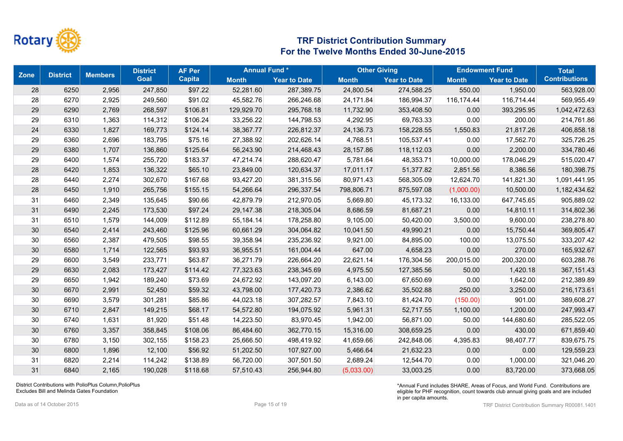

|    | <b>Zone</b><br><b>District</b> | <b>Members</b> | <b>District</b> | <b>AF Per</b> | <b>Annual Fund*</b> |                     | <b>Other Giving</b> |                     | <b>Endowment Fund</b> |                     | <b>Total</b>         |
|----|--------------------------------|----------------|-----------------|---------------|---------------------|---------------------|---------------------|---------------------|-----------------------|---------------------|----------------------|
|    |                                |                | <b>Goal</b>     | <b>Capita</b> | <b>Month</b>        | <b>Year to Date</b> | <b>Month</b>        | <b>Year to Date</b> | <b>Month</b>          | <b>Year to Date</b> | <b>Contributions</b> |
| 28 | 6250                           | 2,956          | 247,850         | \$97.22       | 52,281.60           | 287,389.75          | 24,800.54           | 274,588.25          | 550.00                | 1,950.00            | 563,928.00           |
| 28 | 6270                           | 2,925          | 249,560         | \$91.02       | 45,582.76           | 266,246.68          | 24,171.84           | 186,994.37          | 116,174.44            | 116,714.44          | 569,955.49           |
| 29 | 6290                           | 2,769          | 268,597         | \$106.81      | 129,929.70          | 295,768.18          | 11,732.90           | 353,408.50          | 0.00                  | 393,295.95          | 1,042,472.63         |
| 29 | 6310                           | 1,363          | 114,312         | \$106.24      | 33,256.22           | 144,798.53          | 4,292.95            | 69,763.33           | 0.00                  | 200.00              | 214,761.86           |
| 24 | 6330                           | 1,827          | 169,773         | \$124.14      | 38,367.77           | 226,812.37          | 24,136.73           | 158,228.55          | 1,550.83              | 21,817.26           | 406,858.18           |
| 29 | 6360                           | 2,696          | 183,795         | \$75.16       | 27,388.92           | 202,626.14          | 4,768.51            | 105,537.41          | 0.00                  | 17,562.70           | 325,726.25           |
| 29 | 6380                           | 1,707          | 136,860         | \$125.64      | 56,243.90           | 214,468.43          | 28,157.86           | 118,112.03          | 0.00                  | 2,200.00            | 334,780.46           |
| 29 | 6400                           | 1,574          | 255,720         | \$183.37      | 47,214.74           | 288,620.47          | 5,781.64            | 48,353.71           | 10,000.00             | 178,046.29          | 515,020.47           |
| 28 | 6420                           | 1,853          | 136,322         | \$65.10       | 23,849.00           | 120,634.37          | 17,011.17           | 51,377.82           | 2,851.56              | 8,386.56            | 180,398.75           |
| 28 | 6440                           | 2,274          | 302,670         | \$167.68      | 93,427.20           | 381,315.56          | 80,971.43           | 568,305.09          | 12,624.70             | 141,821.30          | 1,091,441.95         |
| 28 | 6450                           | 1,910          | 265,756         | \$155.15      | 54,266.64           | 296,337.54          | 798,806.71          | 875,597.08          | (1,000.00)            | 10,500.00           | 1,182,434.62         |
| 31 | 6460                           | 2,349          | 135,645         | \$90.66       | 42,879.79           | 212,970.05          | 5,669.80            | 45,173.32           | 16,133.00             | 647,745.65          | 905,889.02           |
| 31 | 6490                           | 2,245          | 173,530         | \$97.24       | 29,147.38           | 218,305.04          | 8,686.59            | 81,687.21           | 0.00                  | 14,810.11           | 314,802.36           |
| 31 | 6510                           | 1,579          | 144,009         | \$112.89      | 55,184.14           | 178,258.80          | 9,105.00            | 50,420.00           | 3,500.00              | 9,600.00            | 238,278.80           |
| 30 | 6540                           | 2,414          | 243,460         | \$125.96      | 60,661.29           | 304,064.82          | 10,041.50           | 49,990.21           | 0.00                  | 15,750.44           | 369,805.47           |
| 30 | 6560                           | 2,387          | 479,505         | \$98.55       | 39,358.94           | 235,236.92          | 9,921.00            | 84,895.00           | 100.00                | 13,075.50           | 333,207.42           |
| 30 | 6580                           | 1,714          | 122,565         | \$93.93       | 36,955.51           | 161,004.44          | 647.00              | 4,658.23            | 0.00                  | 270.00              | 165,932.67           |
| 29 | 6600                           | 3,549          | 233,771         | \$63.87       | 36,271.79           | 226,664.20          | 22,621.14           | 176,304.56          | 200,015.00            | 200,320.00          | 603,288.76           |
| 29 | 6630                           | 2,083          | 173,427         | \$114.42      | 77,323.63           | 238,345.69          | 4,975.50            | 127,385.56          | 50.00                 | 1,420.18            | 367, 151.43          |
| 29 | 6650                           | 1,942          | 189,240         | \$73.69       | 24,672.92           | 143,097.20          | 6,143.00            | 67,650.69           | 0.00                  | 1,642.00            | 212,389.89           |
| 30 | 6670                           | 2,991          | 52,450          | \$59.32       | 43,798.00           | 177,420.73          | 2,386.62            | 35,502.88           | 250.00                | 3,250.00            | 216,173.61           |
| 30 | 6690                           | 3,579          | 301,281         | \$85.86       | 44,023.18           | 307,282.57          | 7,843.10            | 81,424.70           | (150.00)              | 901.00              | 389,608.27           |
| 30 | 6710                           | 2,847          | 149,215         | \$68.17       | 54,572.80           | 194,075.92          | 5,961.31            | 52,717.55           | 1,100.00              | 1,200.00            | 247,993.47           |
| 30 | 6740                           | 1,631          | 81,920          | \$51.48       | 14,223.50           | 83,970.45           | 1,942.00            | 56,871.00           | 50.00                 | 144,680.60          | 285,522.05           |
| 30 | 6760                           | 3,357          | 358,845         | \$108.06      | 86,484.60           | 362,770.15          | 15,316.00           | 308,659.25          | 0.00                  | 430.00              | 671,859.40           |
| 30 | 6780                           | 3,150          | 302,155         | \$158.23      | 25,666.50           | 498,419.92          | 41,659.66           | 242,848.06          | 4,395.83              | 98,407.77           | 839,675.75           |
| 30 | 6800                           | 1,896          | 12,100          | \$56.92       | 51,202.50           | 107,927.00          | 5,466.64            | 21,632.23           | 0.00                  | 0.00                | 129,559.23           |
| 31 | 6820                           | 2,214          | 114,242         | \$138.89      | 56,720.00           | 307,501.50          | 2,689.24            | 12,544.70           | 0.00                  | 1,000.00            | 321,046.20           |
| 31 | 6840                           | 2,165          | 190,028         | \$118.68      | 57.510.43           | 256,944.80          | (5,033.00)          | 33,003.25           | 0.00                  | 83,720.00           | 373,668.05           |

District Contributions with PolioPlus Column,PolioPlus Excludes Bill and Melinda Gates Foundation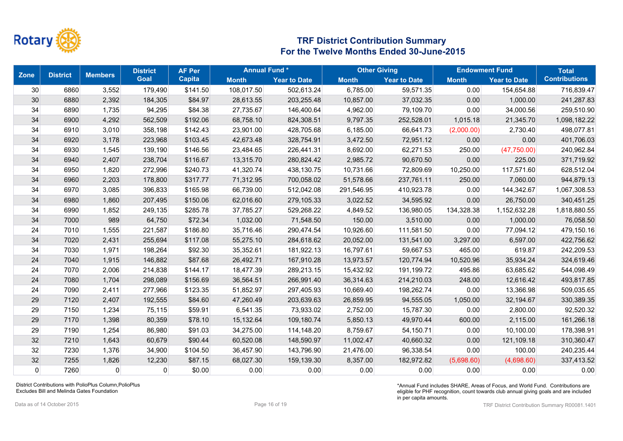

| <b>Zone</b>    | <b>District</b> | <b>Members</b> | <b>District</b> | <b>AF Per</b> | <b>Annual Fund*</b> |                     | <b>Other Giving</b> |                     | <b>Endowment Fund</b> |                     | <b>Total</b>         |
|----------------|-----------------|----------------|-----------------|---------------|---------------------|---------------------|---------------------|---------------------|-----------------------|---------------------|----------------------|
|                |                 |                | <b>Goal</b>     | Capita        | <b>Month</b>        | <b>Year to Date</b> | <b>Month</b>        | <b>Year to Date</b> | <b>Month</b>          | <b>Year to Date</b> | <b>Contributions</b> |
| 30             | 6860            | 3,552          | 179,490         | \$141.50      | 108,017.50          | 502,613.24          | 6,785.00            | 59,571.35           | 0.00                  | 154,654.88          | 716,839.47           |
| 30             | 6880            | 2,392          | 184,305         | \$84.97       | 28,613.55           | 203,255.48          | 10,857.00           | 37,032.35           | 0.00                  | 1,000.00            | 241,287.83           |
| 34             | 6890            | 1,735          | 94,295          | \$84.38       | 27,735.67           | 146,400.64          | 4,962.00            | 79,109.70           | 0.00                  | 34,000.56           | 259,510.90           |
| 34             | 6900            | 4,292          | 562,509         | \$192.06      | 68,758.10           | 824,308.51          | 9,797.35            | 252,528.01          | 1,015.18              | 21,345.70           | 1,098,182.22         |
| 34             | 6910            | 3,010          | 358,198         | \$142.43      | 23,901.00           | 428,705.68          | 6,185.00            | 66,641.73           | (2,000.00)            | 2,730.40            | 498,077.81           |
| 34             | 6920            | 3,178          | 223,968         | \$103.45      | 42,673.48           | 328,754.91          | 3,472.50            | 72,951.12           | 0.00                  | 0.00                | 401,706.03           |
| 34             | 6930            | 1,545          | 139,190         | \$146.56      | 23,484.65           | 226,441.31          | 8,692.00            | 62,271.53           | 250.00                | (47,750.00)         | 240,962.84           |
| 34             | 6940            | 2,407          | 238,704         | \$116.67      | 13,315.70           | 280,824.42          | 2,985.72            | 90,670.50           | 0.00                  | 225.00              | 371,719.92           |
| 34             | 6950            | 1,820          | 272,996         | \$240.73      | 41,320.74           | 438,130.75          | 10,731.66           | 72,809.69           | 10,250.00             | 117,571.60          | 628,512.04           |
| 34             | 6960            | 2,203          | 178,800         | \$317.77      | 71,312.95           | 700,058.02          | 51,578.66           | 237,761.11          | 250.00                | 7,060.00            | 944,879.13           |
| 34             | 6970            | 3,085          | 396,833         | \$165.98      | 66,739.00           | 512,042.08          | 291,546.95          | 410,923.78          | 0.00                  | 144,342.67          | 1,067,308.53         |
| 34             | 6980            | 1,860          | 207,495         | \$150.06      | 62,016.60           | 279,105.33          | 3,022.52            | 34,595.92           | 0.00                  | 26,750.00           | 340,451.25           |
| 34             | 6990            | 1,852          | 249,135         | \$285.78      | 37,785.27           | 529,268.22          | 4,849.52            | 136,980.05          | 134,328.38            | 1,152,632.28        | 1,818,880.55         |
| 34             | 7000            | 989            | 64,750          | \$72.34       | 1,032.00            | 71,548.50           | 150.00              | 3,510.00            | 0.00                  | 1,000.00            | 76,058.50            |
| 24             | 7010            | 1,555          | 221,587         | \$186.80      | 35,716.46           | 290,474.54          | 10,926.60           | 111,581.50          | 0.00                  | 77,094.12           | 479,150.16           |
| 34             | 7020            | 2,431          | 255,694         | \$117.08      | 55,275.10           | 284,618.62          | 20,052.00           | 131,541.00          | 3,297.00              | 6,597.00            | 422,756.62           |
| 34             | 7030            | 1,971          | 198,264         | \$92.30       | 35,352.61           | 181,922.13          | 16,797.61           | 59,667.53           | 465.00                | 619.87              | 242,209.53           |
| 24             | 7040            | 1,915          | 146,882         | \$87.68       | 26,492.71           | 167,910.28          | 13,973.57           | 120,774.94          | 10,520.96             | 35,934.24           | 324,619.46           |
| 24             | 7070            | 2,006          | 214,838         | \$144.17      | 18,477.39           | 289,213.15          | 15,432.92           | 191,199.72          | 495.86                | 63,685.62           | 544,098.49           |
| 24             | 7080            | 1,704          | 298,089         | \$156.69      | 36,564.51           | 266,991.40          | 36,314.63           | 214,210.03          | 248.00                | 12,616.42           | 493,817.85           |
| 24             | 7090            | 2,411          | 277,966         | \$123.35      | 51,852.97           | 297,405.93          | 10,669.40           | 198,262.74          | 0.00                  | 13,366.98           | 509,035.65           |
| 29             | 7120            | 2,407          | 192,555         | \$84.60       | 47,260.49           | 203,639.63          | 26,859.95           | 94,555.05           | 1,050.00              | 32,194.67           | 330,389.35           |
| 29             | 7150            | 1,234          | 75,115          | \$59.91       | 6,541.35            | 73,933.02           | 2,752.00            | 15,787.30           | 0.00                  | 2,800.00            | 92,520.32            |
| 29             | 7170            | 1,398          | 80,359          | \$78.10       | 15,132.64           | 109,180.74          | 5,850.13            | 49,970.44           | 600.00                | 2,115.00            | 161,266.18           |
| 29             | 7190            | 1,254          | 86,980          | \$91.03       | 34,275.00           | 114,148.20          | 8,759.67            | 54,150.71           | 0.00                  | 10,100.00           | 178,398.91           |
| 32             | 7210            | 1,643          | 60,679          | \$90.44       | 60,520.08           | 148,590.97          | 11,002.47           | 40,660.32           | 0.00                  | 121,109.18          | 310,360.47           |
| 32             | 7230            | 1,376          | 34,900          | \$104.50      | 36,457.90           | 143,796.90          | 21,476.00           | 96,338.54           | 0.00                  | 100.00              | 240,235.44           |
| 32             | 7255            | 1,826          | 12,230          | \$87.15       | 68,027.30           | 159,139.30          | 8,357.00            | 182,972.82          | (5,698.60)            | (4,698.60)          | 337,413.52           |
| $\overline{0}$ | 7260            | 0              | 0               | \$0.00        | 0.00                | 0.00                | 0.00                | 0.00                | 0.00                  | 0.00                | 0.00                 |

District Contributions with PolioPlus Column,PolioPlus Excludes Bill and Melinda Gates Foundation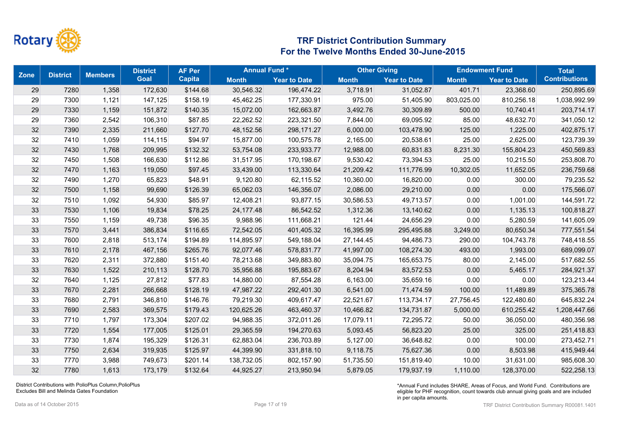

|        | <b>Zone</b><br><b>District</b> | <b>Members</b> | <b>District</b> | <b>AF Per</b> | <b>Annual Fund*</b> |                     | <b>Other Giving</b> |                     | <b>Endowment Fund</b> |                     | <b>Total</b>         |
|--------|--------------------------------|----------------|-----------------|---------------|---------------------|---------------------|---------------------|---------------------|-----------------------|---------------------|----------------------|
|        |                                |                | <b>Goal</b>     | <b>Capita</b> | <b>Month</b>        | <b>Year to Date</b> | <b>Month</b>        | <b>Year to Date</b> | <b>Month</b>          | <b>Year to Date</b> | <b>Contributions</b> |
| 29     | 7280                           | 1,358          | 172,630         | \$144.68      | 30,546.32           | 196,474.22          | 3,718.91            | 31,052.87           | 401.71                | 23,368.60           | 250,895.69           |
| 29     | 7300                           | 1,121          | 147,125         | \$158.19      | 45,462.25           | 177,330.91          | 975.00              | 51,405.90           | 803,025.00            | 810,256.18          | 1,038,992.99         |
| 29     | 7330                           | 1,159          | 151,872         | \$140.35      | 15,072.00           | 162,663.87          | 3,492.76            | 30,309.89           | 500.00                | 10,740.41           | 203,714.17           |
| 29     | 7360                           | 2,542          | 106,310         | \$87.85       | 22,262.52           | 223,321.50          | 7,844.00            | 69,095.92           | 85.00                 | 48,632.70           | 341,050.12           |
| 32     | 7390                           | 2,335          | 211,660         | \$127.70      | 48,152.56           | 298,171.27          | 6,000.00            | 103,478.90          | 125.00                | 1,225.00            | 402,875.17           |
| 32     | 7410                           | 1,059          | 114,115         | \$94.97       | 15,877.00           | 100,575.78          | 2,165.00            | 20,538.61           | 25.00                 | 2,625.00            | 123,739.39           |
| $32\,$ | 7430                           | 1,768          | 209,995         | \$132.32      | 53,754.08           | 233,933.77          | 12,988.00           | 60,831.83           | 8,231.30              | 155,804.23          | 450,569.83           |
| 32     | 7450                           | 1,508          | 166,630         | \$112.86      | 31,517.95           | 170,198.67          | 9,530.42            | 73,394.53           | 25.00                 | 10,215.50           | 253,808.70           |
| 32     | 7470                           | 1,163          | 119,050         | \$97.45       | 33,439.00           | 113,330.64          | 21,209.42           | 111,776.99          | 10,302.05             | 11,652.05           | 236,759.68           |
| 32     | 7490                           | 1,270          | 65,823          | \$48.91       | 9,120.80            | 62,115.52           | 10,360.00           | 16,820.00           | 0.00                  | 300.00              | 79,235.52            |
| $32\,$ | 7500                           | 1,158          | 99,690          | \$126.39      | 65,062.03           | 146,356.07          | 2,086.00            | 29,210.00           | 0.00                  | 0.00                | 175,566.07           |
| 32     | 7510                           | 1,092          | 54,930          | \$85.97       | 12,408.21           | 93,877.15           | 30,586.53           | 49,713.57           | 0.00                  | 1,001.00            | 144,591.72           |
| 33     | 7530                           | 1,106          | 19,834          | \$78.25       | 24, 177. 48         | 86,542.52           | 1,312.36            | 13,140.62           | 0.00                  | 1,135.13            | 100,818.27           |
| 33     | 7550                           | 1,159          | 49,738          | \$96.35       | 9,988.96            | 111,668.21          | 121.44              | 24,656.29           | 0.00                  | 5,280.59            | 141,605.09           |
| 33     | 7570                           | 3,441          | 386,834         | \$116.65      | 72,542.05           | 401,405.32          | 16,395.99           | 295,495.88          | 3,249.00              | 80,650.34           | 777,551.54           |
| 33     | 7600                           | 2,818          | 513,174         | \$194.89      | 114,895.97          | 549,188.04          | 27,144.45           | 94,486.73           | 290.00                | 104,743.78          | 748,418.55           |
| 33     | 7610                           | 2,178          | 467,156         | \$265.76      | 92,077.46           | 578,831.77          | 41,997.00           | 108,274.30          | 493.00                | 1,993.00            | 689,099.07           |
| 33     | 7620                           | 2,311          | 372,880         | \$151.40      | 78,213.68           | 349,883.80          | 35,094.75           | 165,653.75          | 80.00                 | 2,145.00            | 517,682.55           |
| 33     | 7630                           | 1,522          | 210,113         | \$128.70      | 35,956.88           | 195,883.67          | 8,204.94            | 83,572.53           | 0.00                  | 5,465.17            | 284,921.37           |
| 32     | 7640                           | 1,125          | 27,812          | \$77.83       | 14,880.00           | 87,554.28           | 6,163.00            | 35,659.16           | 0.00                  | 0.00                | 123,213.44           |
| 33     | 7670                           | 2,281          | 266,668         | \$128.19      | 47,987.22           | 292,401.30          | 6,541.00            | 71,474.59           | 100.00                | 11,489.89           | 375,365.78           |
| 33     | 7680                           | 2,791          | 346,810         | \$146.76      | 79,219.30           | 409,617.47          | 22,521.67           | 113,734.17          | 27,756.45             | 122,480.60          | 645,832.24           |
| 33     | 7690                           | 2,583          | 369,575         | \$179.43      | 120,625.26          | 463,460.37          | 10,466.82           | 134,731.87          | 5,000.00              | 610,255.42          | 1,208,447.66         |
| 33     | 7710                           | 1,797          | 173,304         | \$207.02      | 94,988.35           | 372,011.26          | 17,079.11           | 72,295.72           | 50.00                 | 36,050.00           | 480,356.98           |
| 33     | 7720                           | 1,554          | 177,005         | \$125.01      | 29,365.59           | 194,270.63          | 5,093.45            | 56,823.20           | 25.00                 | 325.00              | 251,418.83           |
| 33     | 7730                           | 1,874          | 195,329         | \$126.31      | 62,883.04           | 236,703.89          | 5,127.00            | 36,648.82           | 0.00                  | 100.00              | 273,452.71           |
| 33     | 7750                           | 2,634          | 319,935         | \$125.97      | 44,399.90           | 331,818.10          | 9,118.75            | 75,627.36           | 0.00                  | 8,503.98            | 415,949.44           |
| 33     | 7770                           | 3,988          | 749,673         | \$201.14      | 138,732.05          | 802,157.90          | 51,735.50           | 151,819.40          | 10.00                 | 31,631.00           | 985,608.30           |
| 32     | 7780                           | 1,613          | 173,179         | \$132.64      | 44,925.27           | 213,950.94          | 5,879.05            | 179,937.19          | 1,110.00              | 128,370.00          | 522,258.13           |

District Contributions with PolioPlus Column,PolioPlus Excludes Bill and Melinda Gates Foundation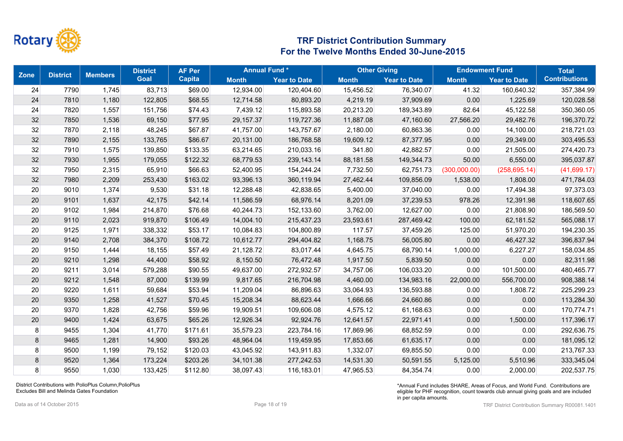

| <b>Zone</b>    | <b>District</b> | <b>Members</b> | <b>District</b> | <b>AF Per</b> | <b>Annual Fund*</b> |                     |              | <b>Other Giving</b> |              | <b>Endowment Fund</b> |                      |
|----------------|-----------------|----------------|-----------------|---------------|---------------------|---------------------|--------------|---------------------|--------------|-----------------------|----------------------|
|                |                 |                | <b>Goal</b>     | <b>Capita</b> | <b>Month</b>        | <b>Year to Date</b> | <b>Month</b> | <b>Year to Date</b> | <b>Month</b> | <b>Year to Date</b>   | <b>Contributions</b> |
| 24             | 7790            | 1,745          | 83,713          | \$69.00       | 12,934.00           | 120,404.60          | 15,456.52    | 76,340.07           | 41.32        | 160,640.32            | 357,384.99           |
| 24             | 7810            | 1,180          | 122,805         | \$68.55       | 12,714.58           | 80,893.20           | 4,219.19     | 37,909.69           | 0.00         | 1,225.69              | 120,028.58           |
| 24             | 7820            | 1,557          | 151,756         | \$74.43       | 7,439.12            | 115,893.58          | 20,213.20    | 189,343.89          | 82.64        | 45,122.58             | 350,360.05           |
| 32             | 7850            | 1,536          | 69,150          | \$77.95       | 29,157.37           | 119,727.36          | 11,887.08    | 47,160.60           | 27,566.20    | 29,482.76             | 196,370.72           |
| 32             | 7870            | 2,118          | 48,245          | \$67.87       | 41,757.00           | 143,757.67          | 2,180.00     | 60,863.36           | 0.00         | 14,100.00             | 218,721.03           |
| 32             | 7890            | 2,155          | 133,765         | \$86.67       | 20,131.00           | 186,768.58          | 19,609.12    | 87,377.95           | 0.00         | 29,349.00             | 303,495.53           |
| 32             | 7910            | 1,575          | 139,850         | \$133.35      | 63,214.65           | 210,033.16          | 341.80       | 42,882.57           | 0.00         | 21,505.00             | 274,420.73           |
| 32             | 7930            | 1,955          | 179,055         | \$122.32      | 68,779.53           | 239,143.14          | 88,181.58    | 149,344.73          | 50.00        | 6,550.00              | 395,037.87           |
| 32             | 7950            | 2,315          | 65,910          | \$66.63       | 52,400.95           | 154,244.24          | 7,732.50     | 62,751.73           | (300,000.00) | (258, 695.14)         | (41,699.17)          |
| 32             | 7980            | 2,209          | 253,430         | \$163.02      | 93,396.13           | 360,119.94          | 27,462.44    | 109,856.09          | 1,538.00     | 1,808.00              | 471,784.03           |
| 20             | 9010            | 1,374          | 9,530           | \$31.18       | 12,288.48           | 42,838.65           | 5,400.00     | 37,040.00           | 0.00         | 17,494.38             | 97,373.03            |
| 20             | 9101            | 1,637          | 42,175          | \$42.14       | 11,586.59           | 68,976.14           | 8,201.09     | 37,239.53           | 978.26       | 12,391.98             | 118,607.65           |
| 20             | 9102            | 1,984          | 214,870         | \$76.68       | 40,244.73           | 152,133.60          | 3,762.00     | 12,627.00           | 0.00         | 21,808.90             | 186,569.50           |
| 20             | 9110            | 2,023          | 919,870         | \$106.49      | 14,004.10           | 215,437.23          | 23,593.61    | 287,469.42          | 100.00       | 62,181.52             | 565,088.17           |
| 20             | 9125            | 1,971          | 338,332         | \$53.17       | 10,084.83           | 104,800.89          | 117.57       | 37,459.26           | 125.00       | 51,970.20             | 194,230.35           |
| 20             | 9140            | 2,708          | 384,370         | \$108.72      | 10,612.77           | 294,404.82          | 1,168.75     | 56,005.80           | 0.00         | 46,427.32             | 396,837.94           |
| 20             | 9150            | 1,444          | 18,155          | \$57.49       | 21,128.72           | 83,017.44           | 4,645.75     | 68,790.14           | 1,000.00     | 6,227.27              | 158,034.85           |
| 20             | 9210            | 1,298          | 44,400          | \$58.92       | 8,150.50            | 76,472.48           | 1,917.50     | 5,839.50            | 0.00         | 0.00                  | 82,311.98            |
| 20             | 9211            | 3,014          | 579,288         | \$90.55       | 49,637.00           | 272,932.57          | 34,757.06    | 106,033.20          | 0.00         | 101,500.00            | 480,465.77           |
| 20             | 9212            | 1,548          | 87,000          | \$139.99      | 9,817.65            | 216,704.98          | 4,460.00     | 134,983.16          | 22,000.00    | 556,700.00            | 908,388.14           |
| 20             | 9220            | 1,611          | 59,684          | \$53.94       | 11,209.04           | 86,896.63           | 33,064.93    | 136,593.88          | 0.00         | 1,808.72              | 225,299.23           |
| 20             | 9350            | 1,258          | 41,527          | \$70.45       | 15,208.34           | 88,623.44           | 1,666.66     | 24,660.86           | 0.00         | 0.00                  | 113,284.30           |
| 20             | 9370            | 1,828          | 42,756          | \$59.96       | 19,909.51           | 109,606.08          | 4,575.12     | 61,168.63           | 0.00         | 0.00                  | 170,774.71           |
| 20             | 9400            | 1,424          | 63,675          | \$65.26       | 12,926.34           | 92,924.76           | 12,641.57    | 22,971.41           | 0.00         | 1,500.00              | 117,396.17           |
| 8 <sup>2</sup> | 9455            | 1,304          | 41,770          | \$171.61      | 35,579.23           | 223,784.16          | 17,869.96    | 68,852.59           | 0.00         | 0.00                  | 292,636.75           |
| 8              | 9465            | 1,281          | 14,900          | \$93.26       | 48,964.04           | 119,459.95          | 17,853.66    | 61,635.17           | 0.00         | 0.00                  | 181,095.12           |
| $\bf{8}$       | 9500            | 1,199          | 79,152          | \$120.03      | 43,045.92           | 143,911.83          | 1,332.07     | 69,855.50           | 0.00         | 0.00                  | 213,767.33           |
| 8              | 9520            | 1,364          | 173,224         | \$203.26      | 34,101.38           | 277,242.53          | 14,531.30    | 50,591.55           | 5,125.00     | 5,510.96              | 333,345.04           |
| 8 <sup>1</sup> | 9550            | 1,030          | 133,425         | \$112.80      | 38,097.43           | 116,183.01          | 47,965.53    | 84,354.74           | 0.00         | 2,000.00              | 202,537.75           |

District Contributions with PolioPlus Column,PolioPlus Excludes Bill and Melinda Gates Foundation